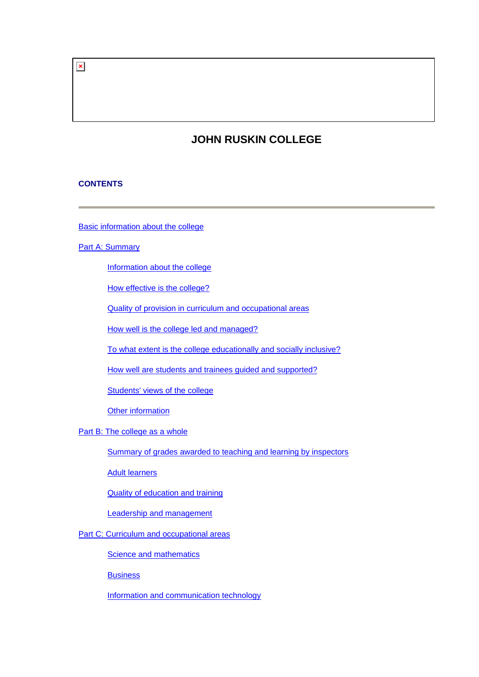# $\pmb{\times}$

# **JOHN RUSKIN COLLEGE**

## **CONTENTS**

[Basic information about the college](#page-1-0)

# **[Part A: Summary](#page-1-0)**

[Information about the college](#page-1-0)

[How effective is the college?](#page-2-0)

[Quality of provision in curriculum and occupational areas](#page-3-0)

[How well is the college led and managed?](#page-4-0)

[To what extent is the college educationally and socially inclusive?](#page-4-0)

[How well are students and trainees guided and supported?](#page-5-0)

[Students' views of the college](#page-5-0)

[Other information](#page-6-0)

[Part B: The college as a whole](#page-6-0)

[Summary of grades awarded to teaching and learning by inspectors](#page-6-0)

[Adult learners](#page-8-0)

[Quality of education and training](#page-8-0)

[Leadership and management](#page-12-0)

[Part C: Curriculum and occupational areas](#page-13-0)

[Science and mathematics](#page-13-0)

**[Business](#page-16-0)** 

[Information and communication technology](#page-19-0)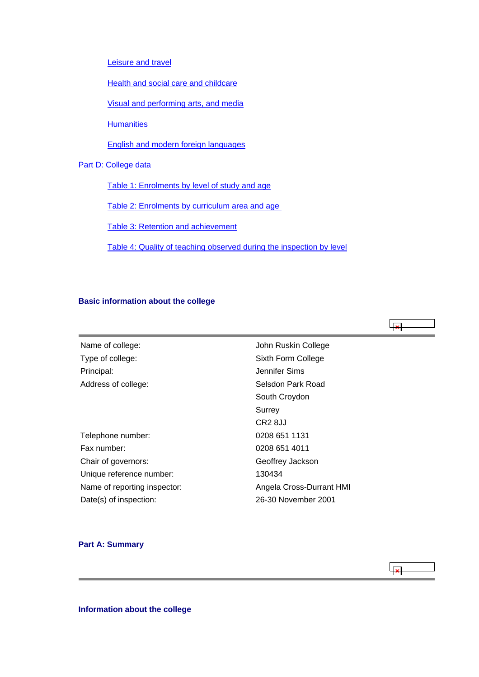<span id="page-1-0"></span>[Leisure and travel](#page-22-0)

[Health and social care and childcare](#page-25-0)

[Visual and performing arts, and media](#page-27-0)

**[Humanities](#page-31-0)** 

[English and modern foreign languages](#page-33-0)

# [Part D: College data](#page-36-0)

[Table 1: Enrolments by level of study and age](#page-36-0)

[Table 2: Enrolments by curriculum area and age](#page-37-0) 

[Table 3: Retention and achievement](#page-37-0)

[Table 4: Quality of teaching observed during the inspection by level](#page-38-0)

## **Basic information about the college**

| Name of college:             | John Ruskin College      |
|------------------------------|--------------------------|
| Type of college:             | Sixth Form College       |
| Principal:                   | Jennifer Sims            |
| Address of college:          | Selsdon Park Road        |
|                              | South Croydon            |
|                              | Surrey                   |
|                              | CR <sub>2</sub> 8JJ      |
| Telephone number:            | 0208 651 1131            |
| Fax number:                  | 0208 651 4011            |
| Chair of governors:          | Geoffrey Jackson         |
| Unique reference number:     | 130434                   |
| Name of reporting inspector: | Angela Cross-Durrant HMI |
| Date(s) of inspection:       | 26-30 November 2001      |

# **Part A: Summary**

 $\overline{\mathbf{x}}$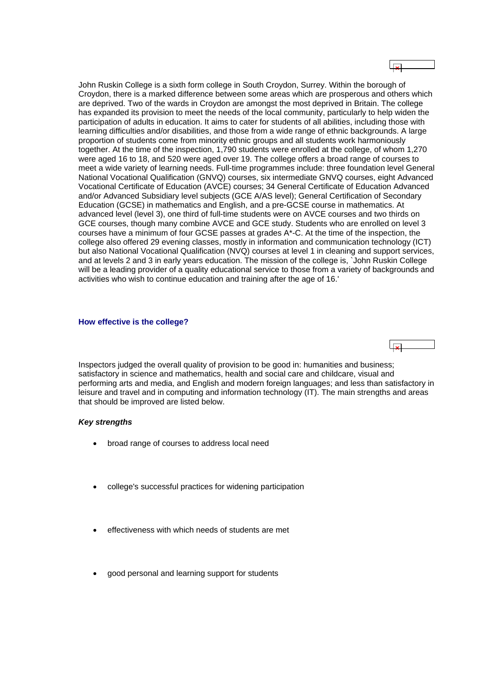<span id="page-2-0"></span>John Ruskin College is a sixth form college in South Croydon, Surrey. Within the borough of Croydon, there is a marked difference between some areas which are prosperous and others which are deprived. Two of the wards in Croydon are amongst the most deprived in Britain. The college has expanded its provision to meet the needs of the local community, particularly to help widen the participation of adults in education. It aims to cater for students of all abilities, including those with learning difficulties and/or disabilities, and those from a wide range of ethnic backgrounds. A large proportion of students come from minority ethnic groups and all students work harmoniously together. At the time of the inspection, 1,790 students were enrolled at the college, of whom 1,270 were aged 16 to 18, and 520 were aged over 19. The college offers a broad range of courses to meet a wide variety of learning needs. Full-time programmes include: three foundation level General National Vocational Qualification (GNVQ) courses, six intermediate GNVQ courses, eight Advanced Vocational Certificate of Education (AVCE) courses; 34 General Certificate of Education Advanced and/or Advanced Subsidiary level subjects (GCE A/AS level); General Certification of Secondary Education (GCSE) in mathematics and English, and a pre-GCSE course in mathematics. At advanced level (level 3), one third of full-time students were on AVCE courses and two thirds on GCE courses, though many combine AVCE and GCE study. Students who are enrolled on level 3 courses have a minimum of four GCSE passes at grades A\*-C. At the time of the inspection, the college also offered 29 evening classes, mostly in information and communication technology (ICT) but also National Vocational Qualification (NVQ) courses at level 1 in cleaning and support services, and at levels 2 and 3 in early years education. The mission of the college is, `John Ruskin College will be a leading provider of a quality educational service to those from a variety of backgrounds and activities who wish to continue education and training after the age of 16.'

#### **How effective is the college?**

Inspectors judged the overall quality of provision to be good in: humanities and business; satisfactory in science and mathematics, health and social care and childcare, visual and performing arts and media, and English and modern foreign languages; and less than satisfactory in leisure and travel and in computing and information technology (IT). The main strengths and areas that should be improved are listed below.

# *Key strengths*

- broad range of courses to address local need
- college's successful practices for widening participation
- effectiveness with which needs of students are met
- good personal and learning support for students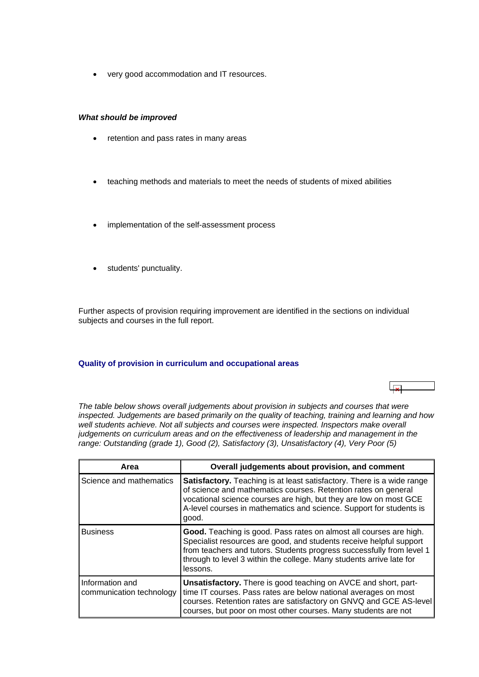<span id="page-3-0"></span>• very good accommodation and IT resources.

## *What should be improved*

- retention and pass rates in many areas
- teaching methods and materials to meet the needs of students of mixed abilities
- implementation of the self-assessment process
- students' punctuality.

Further aspects of provision requiring improvement are identified in the sections on individual subjects and courses in the full report.

# **Quality of provision in curriculum and occupational areas**

*The table below shows overall judgements about provision in subjects and courses that were inspected. Judgements are based primarily on the quality of teaching, training and learning and how well students achieve. Not all subjects and courses were inspected. Inspectors make overall judgements on curriculum areas and on the effectiveness of leadership and management in the range: Outstanding (grade 1), Good (2), Satisfactory (3), Unsatisfactory (4), Very Poor (5)*

ایجا

| Area                                        | Overall judgements about provision, and comment                                                                                                                                                                                                                                                        |
|---------------------------------------------|--------------------------------------------------------------------------------------------------------------------------------------------------------------------------------------------------------------------------------------------------------------------------------------------------------|
| Science and mathematics                     | <b>Satisfactory.</b> Teaching is at least satisfactory. There is a wide range<br>of science and mathematics courses. Retention rates on general<br>vocational science courses are high, but they are low on most GCE<br>A-level courses in mathematics and science. Support for students is<br>good.   |
| <b>Business</b>                             | Good. Teaching is good. Pass rates on almost all courses are high.<br>Specialist resources are good, and students receive helpful support<br>from teachers and tutors. Students progress successfully from level 1<br>through to level 3 within the college. Many students arrive late for<br>lessons. |
| Information and<br>communication technology | <b>Unsatisfactory.</b> There is good teaching on AVCE and short, part-<br>time IT courses. Pass rates are below national averages on most<br>courses. Retention rates are satisfactory on GNVQ and GCE AS-level<br>courses, but poor on most other courses. Many students are not                      |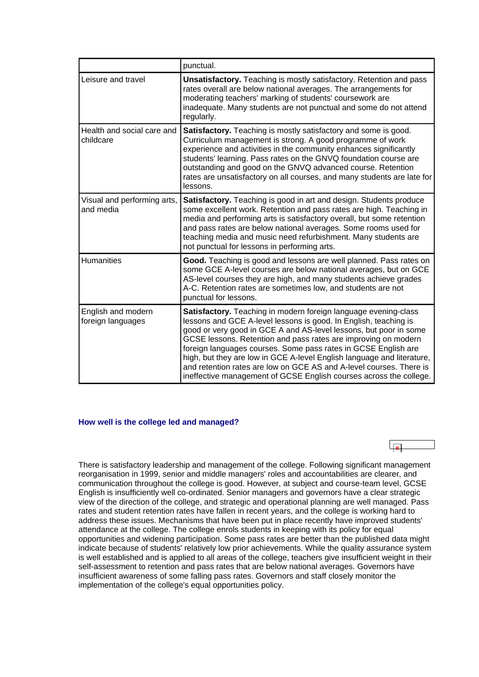<span id="page-4-0"></span>

|                                          | punctual.                                                                                                                                                                                                                                                                                                                                                                                                                                                                                                                                                           |
|------------------------------------------|---------------------------------------------------------------------------------------------------------------------------------------------------------------------------------------------------------------------------------------------------------------------------------------------------------------------------------------------------------------------------------------------------------------------------------------------------------------------------------------------------------------------------------------------------------------------|
| Leisure and travel                       | <b>Unsatisfactory.</b> Teaching is mostly satisfactory. Retention and pass<br>rates overall are below national averages. The arrangements for<br>moderating teachers' marking of students' coursework are<br>inadequate. Many students are not punctual and some do not attend<br>regularly.                                                                                                                                                                                                                                                                        |
| Health and social care and<br>childcare  | <b>Satisfactory.</b> Teaching is mostly satisfactory and some is good.<br>Curriculum management is strong. A good programme of work<br>experience and activities in the community enhances significantly<br>students' learning. Pass rates on the GNVQ foundation course are<br>outstanding and good on the GNVQ advanced course. Retention<br>rates are unsatisfactory on all courses, and many students are late for<br>lessons.                                                                                                                                  |
| Visual and performing arts,<br>and media | Satisfactory. Teaching is good in art and design. Students produce<br>some excellent work. Retention and pass rates are high. Teaching in<br>media and performing arts is satisfactory overall, but some retention<br>and pass rates are below national averages. Some rooms used for<br>teaching media and music need refurbishment. Many students are<br>not punctual for lessons in performing arts.                                                                                                                                                             |
| Humanities                               | Good. Teaching is good and lessons are well planned. Pass rates on<br>some GCE A-level courses are below national averages, but on GCE<br>AS-level courses they are high, and many students achieve grades<br>A-C. Retention rates are sometimes low, and students are not<br>punctual for lessons.                                                                                                                                                                                                                                                                 |
| English and modern<br>foreign languages  | Satisfactory. Teaching in modern foreign language evening-class<br>lessons and GCE A-level lessons is good. In English, teaching is<br>good or very good in GCE A and AS-level lessons, but poor in some<br>GCSE lessons. Retention and pass rates are improving on modern<br>foreign languages courses. Some pass rates in GCSE English are<br>high, but they are low in GCE A-level English language and literature,<br>and retention rates are low on GCE AS and A-level courses. There is<br>ineffective management of GCSE English courses across the college. |

#### **How well is the college led and managed?**

There is satisfactory leadership and management of the college. Following significant management reorganisation in 1999, senior and middle managers' roles and accountabilities are clearer, and communication throughout the college is good. However, at subject and course-team level, GCSE English is insufficiently well co-ordinated. Senior managers and governors have a clear strategic view of the direction of the college, and strategic and operational planning are well managed. Pass rates and student retention rates have fallen in recent years, and the college is working hard to address these issues. Mechanisms that have been put in place recently have improved students' attendance at the college. The college enrols students in keeping with its policy for equal opportunities and widening participation. Some pass rates are better than the published data might indicate because of students' relatively low prior achievements. While the quality assurance system is well established and is applied to all areas of the college, teachers give insufficient weight in their self-assessment to retention and pass rates that are below national averages. Governors have insufficient awareness of some falling pass rates. Governors and staff closely monitor the implementation of the college's equal opportunities policy.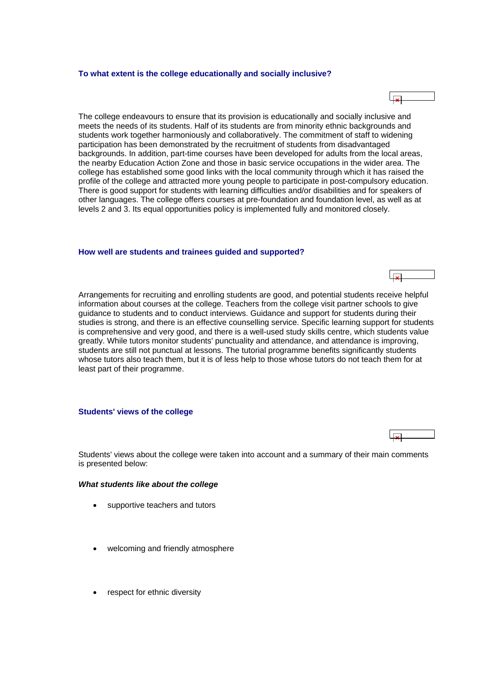#### <span id="page-5-0"></span>**To what extent is the college educationally and socially inclusive?**

 $\overline{\mathbf{r}}$ 

The college endeavours to ensure that its provision is educationally and socially inclusive and meets the needs of its students. Half of its students are from minority ethnic backgrounds and students work together harmoniously and collaboratively. The commitment of staff to widening participation has been demonstrated by the recruitment of students from disadvantaged backgrounds. In addition, part-time courses have been developed for adults from the local areas, the nearby Education Action Zone and those in basic service occupations in the wider area. The college has established some good links with the local community through which it has raised the profile of the college and attracted more young people to participate in post-compulsory education. There is good support for students with learning difficulties and/or disabilities and for speakers of other languages. The college offers courses at pre-foundation and foundation level, as well as at levels 2 and 3. Its equal opportunities policy is implemented fully and monitored closely.

#### **How well are students and trainees guided and supported?**

Arrangements for recruiting and enrolling students are good, and potential students receive helpful information about courses at the college. Teachers from the college visit partner schools to give guidance to students and to conduct interviews. Guidance and support for students during their studies is strong, and there is an effective counselling service. Specific learning support for students is comprehensive and very good, and there is a well-used study skills centre, which students value greatly. While tutors monitor students' punctuality and attendance, and attendance is improving, students are still not punctual at lessons. The tutorial programme benefits significantly students whose tutors also teach them, but it is of less help to those whose tutors do not teach them for at least part of their programme.

#### **Students' views of the college**

Students' views about the college were taken into account and a summary of their main comments is presented below:

#### *What students like about the college*

- supportive teachers and tutors
- welcoming and friendly atmosphere
- respect for ethnic diversity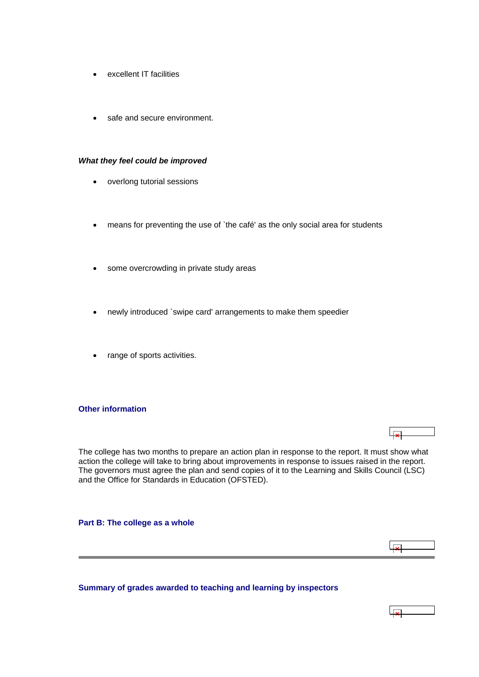- <span id="page-6-0"></span>excellent IT facilities
- safe and secure environment.

#### *What they feel could be improved*

- overlong tutorial sessions
- means for preventing the use of `the café' as the only social area for students
- some overcrowding in private study areas
- newly introduced `swipe card' arrangements to make them speedier
- range of sports activities.

#### **Other information**

The college has two months to prepare an action plan in response to the report. It must show what action the college will take to bring about improvements in response to issues raised in the report. The governors must agree the plan and send copies of it to the Learning and Skills Council (LSC) and the Office for Standards in Education (OFSTED).

 $\overline{\mathbf{r}}$ 

ایجا

## **Part B: The college as a whole**

**Summary of grades awarded to teaching and learning by inspectors**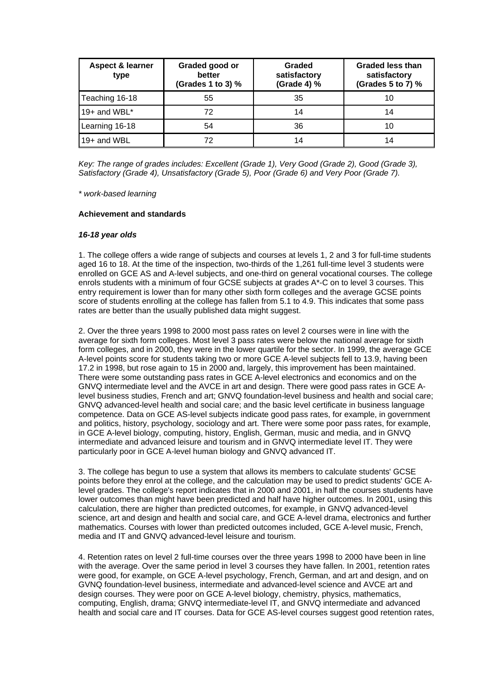| <b>Aspect &amp; learner</b><br>type | Graded good or<br>better<br>(Grades 1 to 3) % | Graded<br>satisfactory<br>(Grade 4) % | <b>Graded less than</b><br>satisfactory<br>(Grades 5 to 7) % |
|-------------------------------------|-----------------------------------------------|---------------------------------------|--------------------------------------------------------------|
| Teaching 16-18                      | 55                                            | 35                                    |                                                              |
| 19+ and WBL*                        | 72                                            | 14                                    |                                                              |
| Learning 16-18                      | 54                                            | 36                                    |                                                              |
| 19+ and WBL                         |                                               | 14                                    |                                                              |

*Key: The range of grades includes: Excellent (Grade 1), Very Good (Grade 2), Good (Grade 3), Satisfactory (Grade 4), Unsatisfactory (Grade 5), Poor (Grade 6) and Very Poor (Grade 7).*

*\* work-based learning*

#### **Achievement and standards**

#### *16-18 year olds*

1. The college offers a wide range of subjects and courses at levels 1, 2 and 3 for full-time students aged 16 to 18. At the time of the inspection, two-thirds of the 1,261 full-time level 3 students were enrolled on GCE AS and A-level subjects, and one-third on general vocational courses. The college enrols students with a minimum of four GCSE subjects at grades A\*-C on to level 3 courses. This entry requirement is lower than for many other sixth form colleges and the average GCSE points score of students enrolling at the college has fallen from 5.1 to 4.9. This indicates that some pass rates are better than the usually published data might suggest.

2. Over the three years 1998 to 2000 most pass rates on level 2 courses were in line with the average for sixth form colleges. Most level 3 pass rates were below the national average for sixth form colleges, and in 2000, they were in the lower quartile for the sector. In 1999, the average GCE A-level points score for students taking two or more GCE A-level subjects fell to 13.9, having been 17.2 in 1998, but rose again to 15 in 2000 and, largely, this improvement has been maintained. There were some outstanding pass rates in GCE A-level electronics and economics and on the GNVQ intermediate level and the AVCE in art and design. There were good pass rates in GCE Alevel business studies, French and art; GNVQ foundation-level business and health and social care; GNVQ advanced-level health and social care; and the basic level certificate in business language competence. Data on GCE AS-level subjects indicate good pass rates, for example, in government and politics, history, psychology, sociology and art. There were some poor pass rates, for example, in GCE A-level biology, computing, history, English, German, music and media, and in GNVQ intermediate and advanced leisure and tourism and in GNVQ intermediate level IT. They were particularly poor in GCE A-level human biology and GNVQ advanced IT.

3. The college has begun to use a system that allows its members to calculate students' GCSE points before they enrol at the college, and the calculation may be used to predict students' GCE Alevel grades. The college's report indicates that in 2000 and 2001, in half the courses students have lower outcomes than might have been predicted and half have higher outcomes. In 2001, using this calculation, there are higher than predicted outcomes, for example, in GNVQ advanced-level science, art and design and health and social care, and GCE A-level drama, electronics and further mathematics. Courses with lower than predicted outcomes included, GCE A-level music, French, media and IT and GNVQ advanced-level leisure and tourism.

4. Retention rates on level 2 full-time courses over the three years 1998 to 2000 have been in line with the average. Over the same period in level 3 courses they have fallen. In 2001, retention rates were good, for example, on GCE A-level psychology, French, German, and art and design, and on GVNQ foundation-level business, intermediate and advanced-level science and AVCE art and design courses. They were poor on GCE A-level biology, chemistry, physics, mathematics, computing, English, drama; GNVQ intermediate-level IT, and GNVQ intermediate and advanced health and social care and IT courses. Data for GCE AS-level courses suggest good retention rates,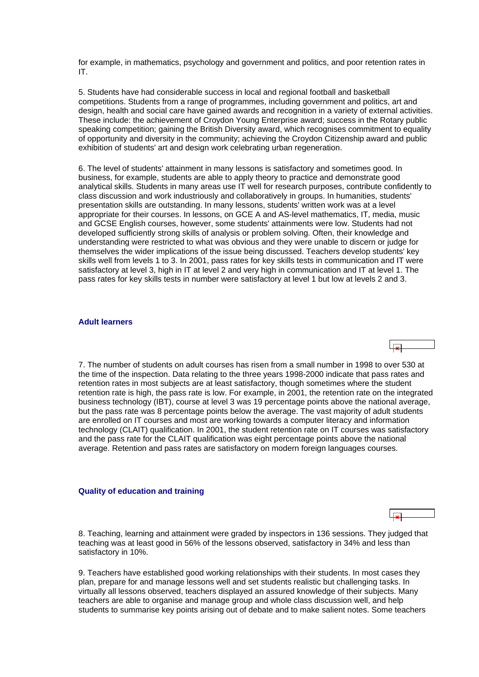<span id="page-8-0"></span>for example, in mathematics, psychology and government and politics, and poor retention rates in IT.

5. Students have had considerable success in local and regional football and basketball competitions. Students from a range of programmes, including government and politics, art and design, health and social care have gained awards and recognition in a variety of external activities. These include: the achievement of Croydon Young Enterprise award; success in the Rotary public speaking competition; gaining the British Diversity award, which recognises commitment to equality of opportunity and diversity in the community; achieving the Croydon Citizenship award and public exhibition of students' art and design work celebrating urban regeneration.

6. The level of students' attainment in many lessons is satisfactory and sometimes good. In business, for example, students are able to apply theory to practice and demonstrate good analytical skills. Students in many areas use IT well for research purposes, contribute confidently to class discussion and work industriously and collaboratively in groups. In humanities, students' presentation skills are outstanding. In many lessons, students' written work was at a level appropriate for their courses. In lessons, on GCE A and AS-level mathematics, IT, media, music and GCSE English courses, however, some students' attainments were low. Students had not developed sufficiently strong skills of analysis or problem solving. Often, their knowledge and understanding were restricted to what was obvious and they were unable to discern or judge for themselves the wider implications of the issue being discussed. Teachers develop students' key skills well from levels 1 to 3. In 2001, pass rates for key skills tests in communication and IT were satisfactory at level 3, high in IT at level 2 and very high in communication and IT at level 1. The pass rates for key skills tests in number were satisfactory at level 1 but low at levels 2 and 3.

#### **Adult learners**

7. The number of students on adult courses has risen from a small number in 1998 to over 530 at the time of the inspection. Data relating to the three years 1998-2000 indicate that pass rates and retention rates in most subjects are at least satisfactory, though sometimes where the student retention rate is high, the pass rate is low. For example, in 2001, the retention rate on the integrated business technology (IBT), course at level 3 was 19 percentage points above the national average, but the pass rate was 8 percentage points below the average. The vast majority of adult students are enrolled on IT courses and most are working towards a computer literacy and information technology (CLAIT) qualification. In 2001, the student retention rate on IT courses was satisfactory and the pass rate for the CLAIT qualification was eight percentage points above the national average. Retention and pass rates are satisfactory on modern foreign languages courses.

#### **Quality of education and training**



8. Teaching, learning and attainment were graded by inspectors in 136 sessions. They judged that teaching was at least good in 56% of the lessons observed, satisfactory in 34% and less than satisfactory in 10%.

9. Teachers have established good working relationships with their students. In most cases they plan, prepare for and manage lessons well and set students realistic but challenging tasks. In virtually all lessons observed, teachers displayed an assured knowledge of their subjects. Many teachers are able to organise and manage group and whole class discussion well, and help students to summarise key points arising out of debate and to make salient notes. Some teachers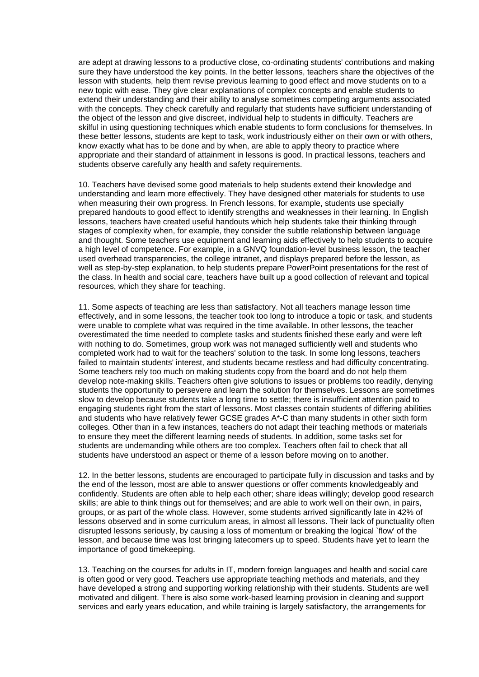are adept at drawing lessons to a productive close, co-ordinating students' contributions and making sure they have understood the key points. In the better lessons, teachers share the objectives of the lesson with students, help them revise previous learning to good effect and move students on to a new topic with ease. They give clear explanations of complex concepts and enable students to extend their understanding and their ability to analyse sometimes competing arguments associated with the concepts. They check carefully and regularly that students have sufficient understanding of the object of the lesson and give discreet, individual help to students in difficulty. Teachers are skilful in using questioning techniques which enable students to form conclusions for themselves. In these better lessons, students are kept to task, work industriously either on their own or with others, know exactly what has to be done and by when, are able to apply theory to practice where appropriate and their standard of attainment in lessons is good. In practical lessons, teachers and students observe carefully any health and safety requirements.

10. Teachers have devised some good materials to help students extend their knowledge and understanding and learn more effectively. They have designed other materials for students to use when measuring their own progress. In French lessons, for example, students use specially prepared handouts to good effect to identify strengths and weaknesses in their learning. In English lessons, teachers have created useful handouts which help students take their thinking through stages of complexity when, for example, they consider the subtle relationship between language and thought. Some teachers use equipment and learning aids effectively to help students to acquire a high level of competence. For example, in a GNVQ foundation-level business lesson, the teacher used overhead transparencies, the college intranet, and displays prepared before the lesson, as well as step-by-step explanation, to help students prepare PowerPoint presentations for the rest of the class. In health and social care, teachers have built up a good collection of relevant and topical resources, which they share for teaching.

11. Some aspects of teaching are less than satisfactory. Not all teachers manage lesson time effectively, and in some lessons, the teacher took too long to introduce a topic or task, and students were unable to complete what was required in the time available. In other lessons, the teacher overestimated the time needed to complete tasks and students finished these early and were left with nothing to do. Sometimes, group work was not managed sufficiently well and students who completed work had to wait for the teachers' solution to the task. In some long lessons, teachers failed to maintain students' interest, and students became restless and had difficulty concentrating. Some teachers rely too much on making students copy from the board and do not help them develop note-making skills. Teachers often give solutions to issues or problems too readily, denying students the opportunity to persevere and learn the solution for themselves. Lessons are sometimes slow to develop because students take a long time to settle; there is insufficient attention paid to engaging students right from the start of lessons. Most classes contain students of differing abilities and students who have relatively fewer GCSE grades A\*-C than many students in other sixth form colleges. Other than in a few instances, teachers do not adapt their teaching methods or materials to ensure they meet the different learning needs of students. In addition, some tasks set for students are undemanding while others are too complex. Teachers often fail to check that all students have understood an aspect or theme of a lesson before moving on to another.

12. In the better lessons, students are encouraged to participate fully in discussion and tasks and by the end of the lesson, most are able to answer questions or offer comments knowledgeably and confidently. Students are often able to help each other; share ideas willingly; develop good research skills; are able to think things out for themselves; and are able to work well on their own, in pairs, groups, or as part of the whole class. However, some students arrived significantly late in 42% of lessons observed and in some curriculum areas, in almost all lessons. Their lack of punctuality often disrupted lessons seriously, by causing a loss of momentum or breaking the logical `flow' of the lesson, and because time was lost bringing latecomers up to speed. Students have yet to learn the importance of good timekeeping.

13. Teaching on the courses for adults in IT, modern foreign languages and health and social care is often good or very good. Teachers use appropriate teaching methods and materials, and they have developed a strong and supporting working relationship with their students. Students are well motivated and diligent. There is also some work-based learning provision in cleaning and support services and early years education, and while training is largely satisfactory, the arrangements for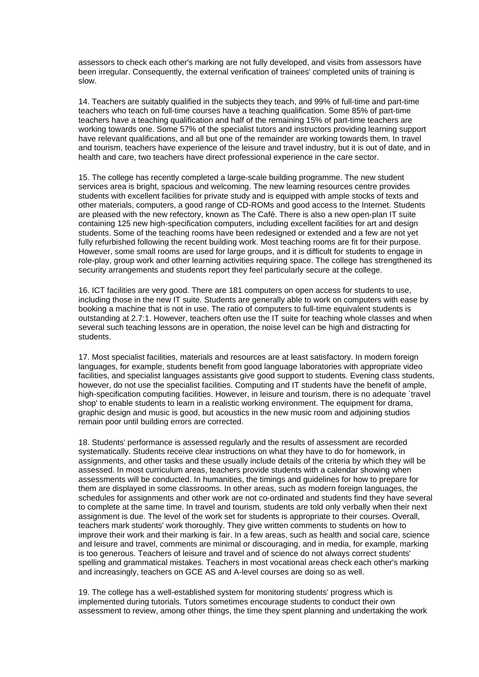assessors to check each other's marking are not fully developed, and visits from assessors have been irregular. Consequently, the external verification of trainees' completed units of training is slow.

14. Teachers are suitably qualified in the subjects they teach, and 99% of full-time and part-time teachers who teach on full-time courses have a teaching qualification. Some 85% of part-time teachers have a teaching qualification and half of the remaining 15% of part-time teachers are working towards one. Some 57% of the specialist tutors and instructors providing learning support have relevant qualifications, and all but one of the remainder are working towards them. In travel and tourism, teachers have experience of the leisure and travel industry, but it is out of date, and in health and care, two teachers have direct professional experience in the care sector.

15. The college has recently completed a large-scale building programme. The new student services area is bright, spacious and welcoming. The new learning resources centre provides students with excellent facilities for private study and is equipped with ample stocks of texts and other materials, computers, a good range of CD-ROMs and good access to the Internet. Students are pleased with the new refectory, known as The Café. There is also a new open-plan IT suite containing 125 new high-specification computers, including excellent facilities for art and design students. Some of the teaching rooms have been redesigned or extended and a few are not yet fully refurbished following the recent building work. Most teaching rooms are fit for their purpose. However, some small rooms are used for large groups, and it is difficult for students to engage in role-play, group work and other learning activities requiring space. The college has strengthened its security arrangements and students report they feel particularly secure at the college.

16. ICT facilities are very good. There are 181 computers on open access for students to use, including those in the new IT suite. Students are generally able to work on computers with ease by booking a machine that is not in use. The ratio of computers to full-time equivalent students is outstanding at 2.7:1. However, teachers often use the IT suite for teaching whole classes and when several such teaching lessons are in operation, the noise level can be high and distracting for students.

17. Most specialist facilities, materials and resources are at least satisfactory. In modern foreign languages, for example, students benefit from good language laboratories with appropriate video facilities, and specialist languages assistants give good support to students. Evening class students, however, do not use the specialist facilities. Computing and IT students have the benefit of ample, high-specification computing facilities. However, in leisure and tourism, there is no adequate `travel shop' to enable students to learn in a realistic working environment. The equipment for drama, graphic design and music is good, but acoustics in the new music room and adjoining studios remain poor until building errors are corrected.

18. Students' performance is assessed regularly and the results of assessment are recorded systematically. Students receive clear instructions on what they have to do for homework, in assignments, and other tasks and these usually include details of the criteria by which they will be assessed. In most curriculum areas, teachers provide students with a calendar showing when assessments will be conducted. In humanities, the timings and guidelines for how to prepare for them are displayed in some classrooms. In other areas, such as modern foreign languages, the schedules for assignments and other work are not co-ordinated and students find they have several to complete at the same time. In travel and tourism, students are told only verbally when their next assignment is due. The level of the work set for students is appropriate to their courses. Overall, teachers mark students' work thoroughly. They give written comments to students on how to improve their work and their marking is fair. In a few areas, such as health and social care, science and leisure and travel, comments are minimal or discouraging, and in media, for example, marking is too generous. Teachers of leisure and travel and of science do not always correct students' spelling and grammatical mistakes. Teachers in most vocational areas check each other's marking and increasingly, teachers on GCE AS and A-level courses are doing so as well.

19. The college has a well-established system for monitoring students' progress which is implemented during tutorials. Tutors sometimes encourage students to conduct their own assessment to review, among other things, the time they spent planning and undertaking the work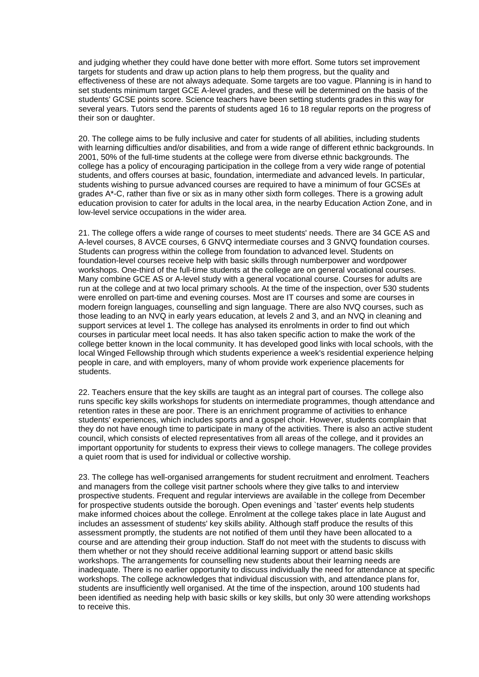and judging whether they could have done better with more effort. Some tutors set improvement targets for students and draw up action plans to help them progress, but the quality and effectiveness of these are not always adequate. Some targets are too vague. Planning is in hand to set students minimum target GCE A-level grades, and these will be determined on the basis of the students' GCSE points score. Science teachers have been setting students grades in this way for several years. Tutors send the parents of students aged 16 to 18 regular reports on the progress of their son or daughter.

20. The college aims to be fully inclusive and cater for students of all abilities, including students with learning difficulties and/or disabilities, and from a wide range of different ethnic backgrounds. In 2001, 50% of the full-time students at the college were from diverse ethnic backgrounds. The college has a policy of encouraging participation in the college from a very wide range of potential students, and offers courses at basic, foundation, intermediate and advanced levels. In particular, students wishing to pursue advanced courses are required to have a minimum of four GCSEs at grades A\*-C, rather than five or six as in many other sixth form colleges. There is a growing adult education provision to cater for adults in the local area, in the nearby Education Action Zone, and in low-level service occupations in the wider area.

21. The college offers a wide range of courses to meet students' needs. There are 34 GCE AS and A-level courses, 8 AVCE courses, 6 GNVQ intermediate courses and 3 GNVQ foundation courses. Students can progress within the college from foundation to advanced level. Students on foundation-level courses receive help with basic skills through numberpower and wordpower workshops. One-third of the full-time students at the college are on general vocational courses. Many combine GCE AS or A-level study with a general vocational course. Courses for adults are run at the college and at two local primary schools. At the time of the inspection, over 530 students were enrolled on part-time and evening courses. Most are IT courses and some are courses in modern foreign languages, counselling and sign language. There are also NVQ courses, such as those leading to an NVQ in early years education, at levels 2 and 3, and an NVQ in cleaning and support services at level 1. The college has analysed its enrolments in order to find out which courses in particular meet local needs. It has also taken specific action to make the work of the college better known in the local community. It has developed good links with local schools, with the local Winged Fellowship through which students experience a week's residential experience helping people in care, and with employers, many of whom provide work experience placements for students.

22. Teachers ensure that the key skills are taught as an integral part of courses. The college also runs specific key skills workshops for students on intermediate programmes, though attendance and retention rates in these are poor. There is an enrichment programme of activities to enhance students' experiences, which includes sports and a gospel choir. However, students complain that they do not have enough time to participate in many of the activities. There is also an active student council, which consists of elected representatives from all areas of the college, and it provides an important opportunity for students to express their views to college managers. The college provides a quiet room that is used for individual or collective worship.

23. The college has well-organised arrangements for student recruitment and enrolment. Teachers and managers from the college visit partner schools where they give talks to and interview prospective students. Frequent and regular interviews are available in the college from December for prospective students outside the borough. Open evenings and `taster' events help students make informed choices about the college. Enrolment at the college takes place in late August and includes an assessment of students' key skills ability. Although staff produce the results of this assessment promptly, the students are not notified of them until they have been allocated to a course and are attending their group induction. Staff do not meet with the students to discuss with them whether or not they should receive additional learning support or attend basic skills workshops. The arrangements for counselling new students about their learning needs are inadequate. There is no earlier opportunity to discuss individually the need for attendance at specific workshops. The college acknowledges that individual discussion with, and attendance plans for, students are insufficiently well organised. At the time of the inspection, around 100 students had been identified as needing help with basic skills or key skills, but only 30 were attending workshops to receive this.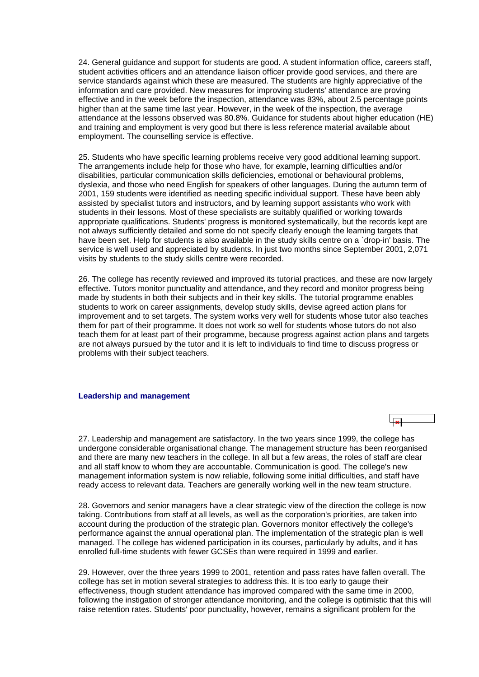<span id="page-12-0"></span>24. General guidance and support for students are good. A student information office, careers staff, student activities officers and an attendance liaison officer provide good services, and there are service standards against which these are measured. The students are highly appreciative of the information and care provided. New measures for improving students' attendance are proving effective and in the week before the inspection, attendance was 83%, about 2.5 percentage points higher than at the same time last year. However, in the week of the inspection, the average attendance at the lessons observed was 80.8%. Guidance for students about higher education (HE) and training and employment is very good but there is less reference material available about employment. The counselling service is effective.

25. Students who have specific learning problems receive very good additional learning support. The arrangements include help for those who have, for example, learning difficulties and/or disabilities, particular communication skills deficiencies, emotional or behavioural problems, dyslexia, and those who need English for speakers of other languages. During the autumn term of 2001, 159 students were identified as needing specific individual support. These have been ably assisted by specialist tutors and instructors, and by learning support assistants who work with students in their lessons. Most of these specialists are suitably qualified or working towards appropriate qualifications. Students' progress is monitored systematically, but the records kept are not always sufficiently detailed and some do not specify clearly enough the learning targets that have been set. Help for students is also available in the study skills centre on a `drop-in' basis. The service is well used and appreciated by students. In just two months since September 2001, 2,071 visits by students to the study skills centre were recorded.

26. The college has recently reviewed and improved its tutorial practices, and these are now largely effective. Tutors monitor punctuality and attendance, and they record and monitor progress being made by students in both their subjects and in their key skills. The tutorial programme enables students to work on career assignments, develop study skills, devise agreed action plans for improvement and to set targets. The system works very well for students whose tutor also teaches them for part of their programme. It does not work so well for students whose tutors do not also teach them for at least part of their programme, because progress against action plans and targets are not always pursued by the tutor and it is left to individuals to find time to discuss progress or problems with their subject teachers.

#### **Leadership and management**

27. Leadership and management are satisfactory. In the two years since 1999, the college has undergone considerable organisational change. The management structure has been reorganised and there are many new teachers in the college. In all but a few areas, the roles of staff are clear and all staff know to whom they are accountable. Communication is good. The college's new management information system is now reliable, following some initial difficulties, and staff have ready access to relevant data. Teachers are generally working well in the new team structure.

28. Governors and senior managers have a clear strategic view of the direction the college is now taking. Contributions from staff at all levels, as well as the corporation's priorities, are taken into account during the production of the strategic plan. Governors monitor effectively the college's performance against the annual operational plan. The implementation of the strategic plan is well managed. The college has widened participation in its courses, particularly by adults, and it has enrolled full-time students with fewer GCSEs than were required in 1999 and earlier.

29. However, over the three years 1999 to 2001, retention and pass rates have fallen overall. The college has set in motion several strategies to address this. It is too early to gauge their effectiveness, though student attendance has improved compared with the same time in 2000, following the instigation of stronger attendance monitoring, and the college is optimistic that this will raise retention rates. Students' poor punctuality, however, remains a significant problem for the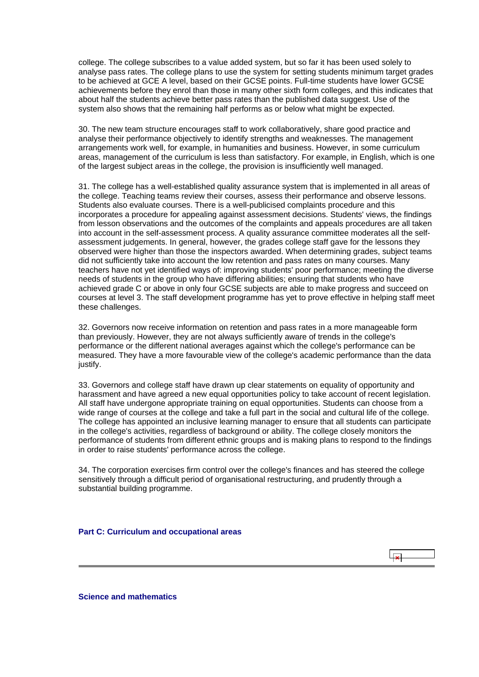<span id="page-13-0"></span>college. The college subscribes to a value added system, but so far it has been used solely to analyse pass rates. The college plans to use the system for setting students minimum target grades to be achieved at GCE A level, based on their GCSE points. Full-time students have lower GCSE achievements before they enrol than those in many other sixth form colleges, and this indicates that about half the students achieve better pass rates than the published data suggest. Use of the system also shows that the remaining half performs as or below what might be expected.

30. The new team structure encourages staff to work collaboratively, share good practice and analyse their performance objectively to identify strengths and weaknesses. The management arrangements work well, for example, in humanities and business. However, in some curriculum areas, management of the curriculum is less than satisfactory. For example, in English, which is one of the largest subject areas in the college, the provision is insufficiently well managed.

31. The college has a well-established quality assurance system that is implemented in all areas of the college. Teaching teams review their courses, assess their performance and observe lessons. Students also evaluate courses. There is a well-publicised complaints procedure and this incorporates a procedure for appealing against assessment decisions. Students' views, the findings from lesson observations and the outcomes of the complaints and appeals procedures are all taken into account in the self-assessment process. A quality assurance committee moderates all the selfassessment judgements. In general, however, the grades college staff gave for the lessons they observed were higher than those the inspectors awarded. When determining grades, subject teams did not sufficiently take into account the low retention and pass rates on many courses. Many teachers have not yet identified ways of: improving students' poor performance; meeting the diverse needs of students in the group who have differing abilities; ensuring that students who have achieved grade C or above in only four GCSE subjects are able to make progress and succeed on courses at level 3. The staff development programme has yet to prove effective in helping staff meet these challenges.

32. Governors now receive information on retention and pass rates in a more manageable form than previously. However, they are not always sufficiently aware of trends in the college's performance or the different national averages against which the college's performance can be measured. They have a more favourable view of the college's academic performance than the data justify.

33. Governors and college staff have drawn up clear statements on equality of opportunity and harassment and have agreed a new equal opportunities policy to take account of recent legislation. All staff have undergone appropriate training on equal opportunities. Students can choose from a wide range of courses at the college and take a full part in the social and cultural life of the college. The college has appointed an inclusive learning manager to ensure that all students can participate in the college's activities, regardless of background or ability. The college closely monitors the performance of students from different ethnic groups and is making plans to respond to the findings in order to raise students' performance across the college.

34. The corporation exercises firm control over the college's finances and has steered the college sensitively through a difficult period of organisational restructuring, and prudently through a substantial building programme.

#### **Part C: Curriculum and occupational areas**

**Science and mathematics**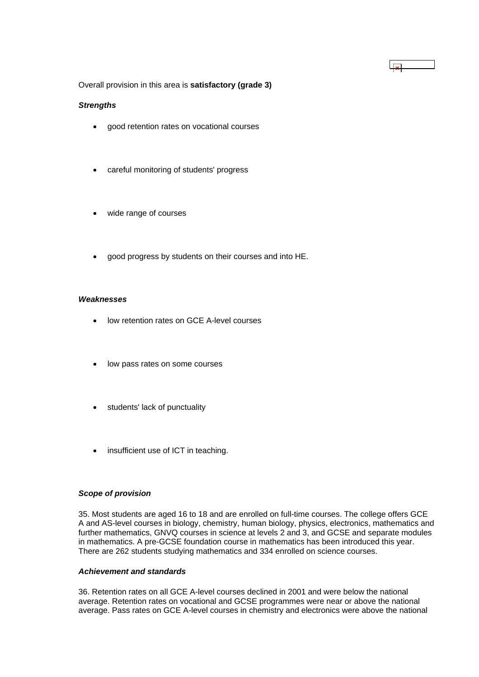Overall provision in this area is **satisfactory (grade 3)**

 $\overline{\mathbf{r}}$ 

## *Strengths*

- good retention rates on vocational courses
- careful monitoring of students' progress
- wide range of courses
- good progress by students on their courses and into HE.

#### *Weaknesses*

- low retention rates on GCE A-level courses
- low pass rates on some courses
- students' lack of punctuality
- insufficient use of ICT in teaching.

#### *Scope of provision*

35. Most students are aged 16 to 18 and are enrolled on full-time courses. The college offers GCE A and AS-level courses in biology, chemistry, human biology, physics, electronics, mathematics and further mathematics, GNVQ courses in science at levels 2 and 3, and GCSE and separate modules in mathematics. A pre-GCSE foundation course in mathematics has been introduced this year. There are 262 students studying mathematics and 334 enrolled on science courses.

#### *Achievement and standards*

36. Retention rates on all GCE A-level courses declined in 2001 and were below the national average. Retention rates on vocational and GCSE programmes were near or above the national average. Pass rates on GCE A-level courses in chemistry and electronics were above the national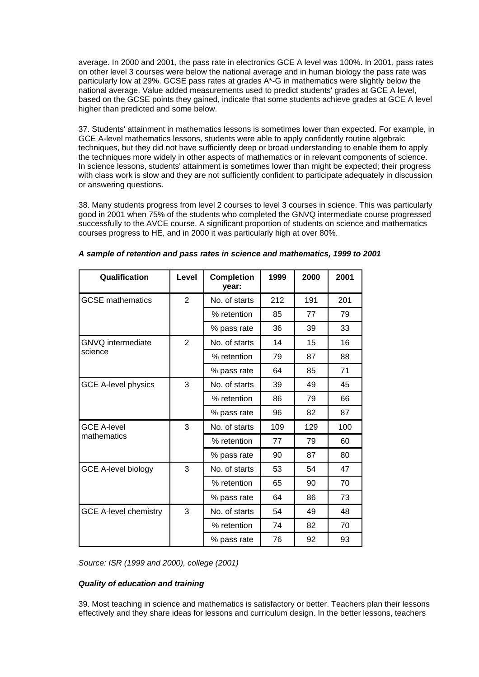average. In 2000 and 2001, the pass rate in electronics GCE A level was 100%. In 2001, pass rates on other level 3 courses were below the national average and in human biology the pass rate was particularly low at 29%. GCSE pass rates at grades A\*-G in mathematics were slightly below the national average. Value added measurements used to predict students' grades at GCE A level, based on the GCSE points they gained, indicate that some students achieve grades at GCE A level higher than predicted and some below.

37. Students' attainment in mathematics lessons is sometimes lower than expected. For example, in GCE A-level mathematics lessons, students were able to apply confidently routine algebraic techniques, but they did not have sufficiently deep or broad understanding to enable them to apply the techniques more widely in other aspects of mathematics or in relevant components of science. In science lessons, students' attainment is sometimes lower than might be expected; their progress with class work is slow and they are not sufficiently confident to participate adequately in discussion or answering questions.

38. Many students progress from level 2 courses to level 3 courses in science. This was particularly good in 2001 when 75% of the students who completed the GNVQ intermediate course progressed successfully to the AVCE course. A significant proportion of students on science and mathematics courses progress to HE, and in 2000 it was particularly high at over 80%.

| Qualification                | Level          | <b>Completion</b><br>year: | 1999 | 2000 | 2001 |
|------------------------------|----------------|----------------------------|------|------|------|
| <b>GCSE</b> mathematics      | $\overline{2}$ | No. of starts              | 212  | 191  | 201  |
|                              |                | % retention                | 85   | 77   | 79   |
|                              |                | % pass rate                | 36   | 39   | 33   |
| GNVQ intermediate            | $\overline{2}$ | No. of starts              | 14   | 15   | 16   |
| science                      |                | % retention                | 79   | 87   | 88   |
|                              |                | % pass rate                | 64   | 85   | 71   |
| <b>GCE A-level physics</b>   | 3              | No. of starts              | 39   | 49   | 45   |
|                              |                | % retention                | 86   | 79   | 66   |
|                              |                | % pass rate                | 96   | 82   | 87   |
| <b>GCE A-level</b>           | 3              | No. of starts              | 109  | 129  | 100  |
| mathematics                  |                | % retention                | 77   | 79   | 60   |
|                              |                | % pass rate                | 90   | 87   | 80   |
| <b>GCE A-level biology</b>   | 3              | No. of starts              | 53   | 54   | 47   |
|                              |                | % retention                | 65   | 90   | 70   |
|                              |                | % pass rate                | 64   | 86   | 73   |
| <b>GCE A-level chemistry</b> | 3              | No. of starts              | 54   | 49   | 48   |
|                              |                | % retention                | 74   | 82   | 70   |
|                              |                | % pass rate                | 76   | 92   | 93   |

#### *A sample of retention and pass rates in science and mathematics, 1999 to 2001*

*Source: ISR (1999 and 2000), college (2001)*

#### *Quality of education and training*

39. Most teaching in science and mathematics is satisfactory or better. Teachers plan their lessons effectively and they share ideas for lessons and curriculum design. In the better lessons, teachers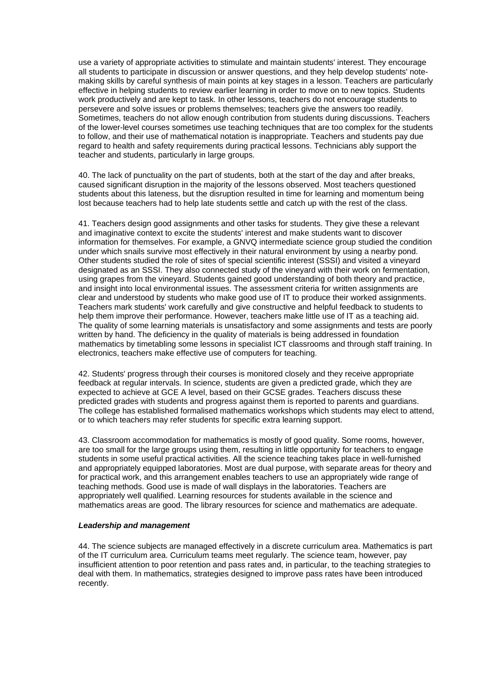<span id="page-16-0"></span>use a variety of appropriate activities to stimulate and maintain students' interest. They encourage all students to participate in discussion or answer questions, and they help develop students' notemaking skills by careful synthesis of main points at key stages in a lesson. Teachers are particularly effective in helping students to review earlier learning in order to move on to new topics. Students work productively and are kept to task. In other lessons, teachers do not encourage students to persevere and solve issues or problems themselves; teachers give the answers too readily. Sometimes, teachers do not allow enough contribution from students during discussions. Teachers of the lower-level courses sometimes use teaching techniques that are too complex for the students to follow, and their use of mathematical notation is inappropriate. Teachers and students pay due regard to health and safety requirements during practical lessons. Technicians ably support the teacher and students, particularly in large groups.

40. The lack of punctuality on the part of students, both at the start of the day and after breaks, caused significant disruption in the majority of the lessons observed. Most teachers questioned students about this lateness, but the disruption resulted in time for learning and momentum being lost because teachers had to help late students settle and catch up with the rest of the class.

41. Teachers design good assignments and other tasks for students. They give these a relevant and imaginative context to excite the students' interest and make students want to discover information for themselves. For example, a GNVQ intermediate science group studied the condition under which snails survive most effectively in their natural environment by using a nearby pond. Other students studied the role of sites of special scientific interest (SSSI) and visited a vineyard designated as an SSSI. They also connected study of the vineyard with their work on fermentation, using grapes from the vineyard. Students gained good understanding of both theory and practice, and insight into local environmental issues. The assessment criteria for written assignments are clear and understood by students who make good use of IT to produce their worked assignments. Teachers mark students' work carefully and give constructive and helpful feedback to students to help them improve their performance. However, teachers make little use of IT as a teaching aid. The quality of some learning materials is unsatisfactory and some assignments and tests are poorly written by hand. The deficiency in the quality of materials is being addressed in foundation mathematics by timetabling some lessons in specialist ICT classrooms and through staff training. In electronics, teachers make effective use of computers for teaching.

42. Students' progress through their courses is monitored closely and they receive appropriate feedback at regular intervals. In science, students are given a predicted grade, which they are expected to achieve at GCE A level, based on their GCSE grades. Teachers discuss these predicted grades with students and progress against them is reported to parents and guardians. The college has established formalised mathematics workshops which students may elect to attend, or to which teachers may refer students for specific extra learning support.

43. Classroom accommodation for mathematics is mostly of good quality. Some rooms, however, are too small for the large groups using them, resulting in little opportunity for teachers to engage students in some useful practical activities. All the science teaching takes place in well-furnished and appropriately equipped laboratories. Most are dual purpose, with separate areas for theory and for practical work, and this arrangement enables teachers to use an appropriately wide range of teaching methods. Good use is made of wall displays in the laboratories. Teachers are appropriately well qualified. Learning resources for students available in the science and mathematics areas are good. The library resources for science and mathematics are adequate.

## *Leadership and management*

44. The science subjects are managed effectively in a discrete curriculum area. Mathematics is part of the IT curriculum area. Curriculum teams meet regularly. The science team, however, pay insufficient attention to poor retention and pass rates and, in particular, to the teaching strategies to deal with them. In mathematics, strategies designed to improve pass rates have been introduced recently.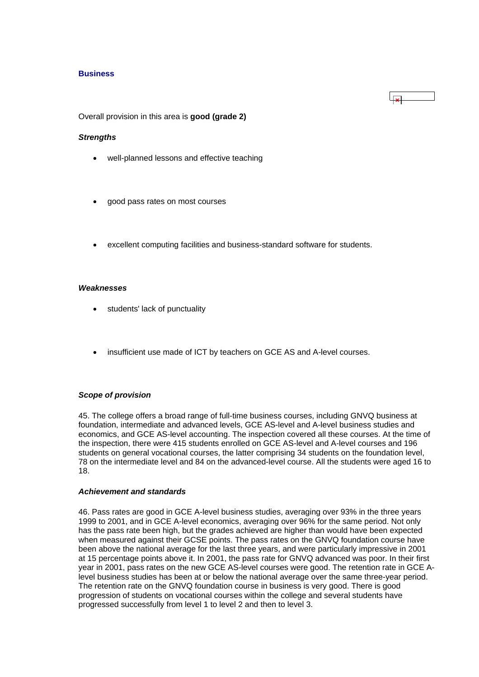#### **Business**

Overall provision in this area is **good (grade 2)**

#### *Strengths*

- well-planned lessons and effective teaching
- good pass rates on most courses
- excellent computing facilities and business-standard software for students.

## *Weaknesses*

- students' lack of punctuality
- insufficient use made of ICT by teachers on GCE AS and A-level courses.

#### *Scope of provision*

45. The college offers a broad range of full-time business courses, including GNVQ business at foundation, intermediate and advanced levels, GCE AS-level and A-level business studies and economics, and GCE AS-level accounting. The inspection covered all these courses. At the time of the inspection, there were 415 students enrolled on GCE AS-level and A-level courses and 196 students on general vocational courses, the latter comprising 34 students on the foundation level, 78 on the intermediate level and 84 on the advanced-level course. All the students were aged 16 to 18.

#### *Achievement and standards*

46. Pass rates are good in GCE A-level business studies, averaging over 93% in the three years 1999 to 2001, and in GCE A-level economics, averaging over 96% for the same period. Not only has the pass rate been high, but the grades achieved are higher than would have been expected when measured against their GCSE points. The pass rates on the GNVQ foundation course have been above the national average for the last three years, and were particularly impressive in 2001 at 15 percentage points above it. In 2001, the pass rate for GNVQ advanced was poor. In their first year in 2001, pass rates on the new GCE AS-level courses were good. The retention rate in GCE Alevel business studies has been at or below the national average over the same three-year period. The retention rate on the GNVQ foundation course in business is very good. There is good progression of students on vocational courses within the college and several students have progressed successfully from level 1 to level 2 and then to level 3.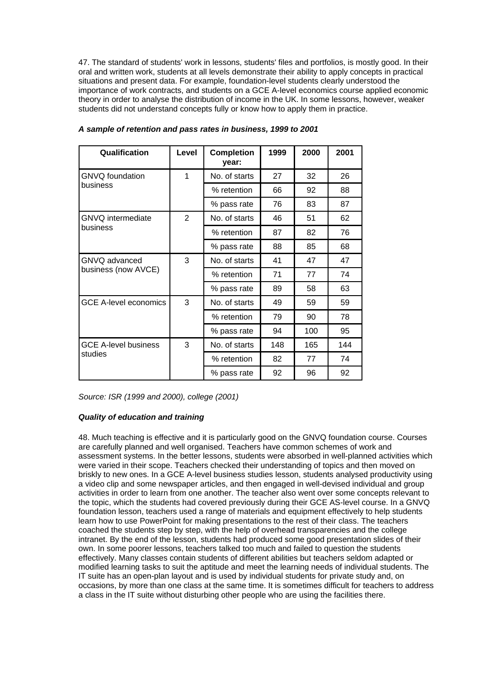47. The standard of students' work in lessons, students' files and portfolios, is mostly good. In their oral and written work, students at all levels demonstrate their ability to apply concepts in practical situations and present data. For example, foundation-level students clearly understood the importance of work contracts, and students on a GCE A-level economics course applied economic theory in order to analyse the distribution of income in the UK. In some lessons, however, weaker students did not understand concepts fully or know how to apply them in practice.

| Qualification                | Level          | <b>Completion</b><br>year: | 1999 | 2000 | 2001 |
|------------------------------|----------------|----------------------------|------|------|------|
| <b>GNVQ</b> foundation       | 1              | No. of starts              | 27   | 32   | 26   |
| business                     |                | % retention                | 66   | 92   | 88   |
|                              |                | % pass rate                | 76   | 83   | 87   |
| <b>GNVQ</b> intermediate     | $\overline{2}$ | No. of starts              | 46   | 51   | 62   |
| business                     |                | % retention                | 87   | 82   | 76   |
|                              |                | % pass rate                | 88   | 85   | 68   |
| GNVQ advanced                | 3              | No. of starts              | 41   | 47   | 47   |
| business (now AVCE)          |                | % retention                | 71   | 77   | 74   |
|                              |                | % pass rate                | 89   | 58   | 63   |
| <b>GCE A-level economics</b> | 3              | No. of starts              | 49   | 59   | 59   |
|                              |                | % retention                | 79   | 90   | 78   |
|                              |                | % pass rate                | 94   | 100  | 95   |
| <b>GCE A-level business</b>  | 3              | No. of starts              | 148  | 165  | 144  |
| studies                      |                | % retention                | 82   | 77   | 74   |
|                              |                | % pass rate                | 92   | 96   | 92   |

## *A sample of retention and pass rates in business, 1999 to 2001*

*Source: ISR (1999 and 2000), college (2001)*

# *Quality of education and training*

48. Much teaching is effective and it is particularly good on the GNVQ foundation course. Courses are carefully planned and well organised. Teachers have common schemes of work and assessment systems. In the better lessons, students were absorbed in well-planned activities which were varied in their scope. Teachers checked their understanding of topics and then moved on briskly to new ones. In a GCE A-level business studies lesson, students analysed productivity using a video clip and some newspaper articles, and then engaged in well-devised individual and group activities in order to learn from one another. The teacher also went over some concepts relevant to the topic, which the students had covered previously during their GCE AS-level course. In a GNVQ foundation lesson, teachers used a range of materials and equipment effectively to help students learn how to use PowerPoint for making presentations to the rest of their class. The teachers coached the students step by step, with the help of overhead transparencies and the college intranet. By the end of the lesson, students had produced some good presentation slides of their own. In some poorer lessons, teachers talked too much and failed to question the students effectively. Many classes contain students of different abilities but teachers seldom adapted or modified learning tasks to suit the aptitude and meet the learning needs of individual students. The IT suite has an open-plan layout and is used by individual students for private study and, on occasions, by more than one class at the same time. It is sometimes difficult for teachers to address a class in the IT suite without disturbing other people who are using the facilities there.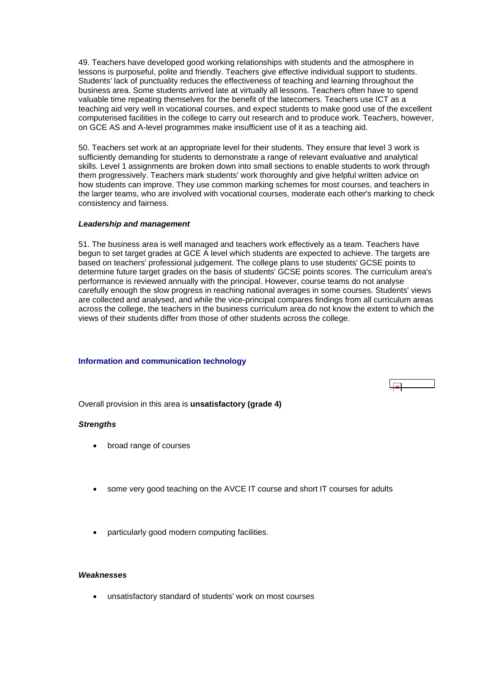<span id="page-19-0"></span>49. Teachers have developed good working relationships with students and the atmosphere in lessons is purposeful, polite and friendly. Teachers give effective individual support to students. Students' lack of punctuality reduces the effectiveness of teaching and learning throughout the business area. Some students arrived late at virtually all lessons. Teachers often have to spend valuable time repeating themselves for the benefit of the latecomers. Teachers use ICT as a teaching aid very well in vocational courses, and expect students to make good use of the excellent computerised facilities in the college to carry out research and to produce work. Teachers, however, on GCE AS and A-level programmes make insufficient use of it as a teaching aid.

50. Teachers set work at an appropriate level for their students. They ensure that level 3 work is sufficiently demanding for students to demonstrate a range of relevant evaluative and analytical skills. Level 1 assignments are broken down into small sections to enable students to work through them progressively. Teachers mark students' work thoroughly and give helpful written advice on how students can improve. They use common marking schemes for most courses, and teachers in the larger teams, who are involved with vocational courses, moderate each other's marking to check consistency and fairness.

#### *Leadership and management*

51. The business area is well managed and teachers work effectively as a team. Teachers have begun to set target grades at GCE A level which students are expected to achieve. The targets are based on teachers' professional judgement. The college plans to use students' GCSE points to determine future target grades on the basis of students' GCSE points scores. The curriculum area's performance is reviewed annually with the principal. However, course teams do not analyse carefully enough the slow progress in reaching national averages in some courses. Students' views are collected and analysed, and while the vice-principal compares findings from all curriculum areas across the college, the teachers in the business curriculum area do not know the extent to which the views of their students differ from those of other students across the college.

#### **Information and communication technology**

Overall provision in this area is **unsatisfactory (grade 4)**

#### *Strengths*

- broad range of courses
- some very good teaching on the AVCE IT course and short IT courses for adults
- particularly good modern computing facilities.

#### *Weaknesses*

unsatisfactory standard of students' work on most courses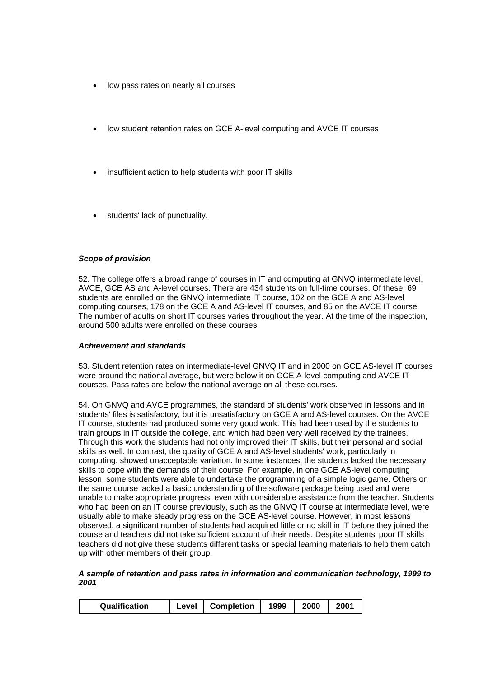- low pass rates on nearly all courses
- low student retention rates on GCE A-level computing and AVCE IT courses
- insufficient action to help students with poor IT skills
- students' lack of punctuality.

# *Scope of provision*

52. The college offers a broad range of courses in IT and computing at GNVQ intermediate level, AVCE, GCE AS and A-level courses. There are 434 students on full-time courses. Of these, 69 students are enrolled on the GNVQ intermediate IT course, 102 on the GCE A and AS-level computing courses, 178 on the GCE A and AS-level IT courses, and 85 on the AVCE IT course. The number of adults on short IT courses varies throughout the year. At the time of the inspection, around 500 adults were enrolled on these courses.

# *Achievement and standards*

53. Student retention rates on intermediate-level GNVQ IT and in 2000 on GCE AS-level IT courses were around the national average, but were below it on GCE A-level computing and AVCE IT courses. Pass rates are below the national average on all these courses.

54. On GNVQ and AVCE programmes, the standard of students' work observed in lessons and in students' files is satisfactory, but it is unsatisfactory on GCE A and AS-level courses. On the AVCE IT course, students had produced some very good work. This had been used by the students to train groups in IT outside the college, and which had been very well received by the trainees. Through this work the students had not only improved their IT skills, but their personal and social skills as well. In contrast, the quality of GCE A and AS-level students' work, particularly in computing, showed unacceptable variation. In some instances, the students lacked the necessary skills to cope with the demands of their course. For example, in one GCE AS-level computing lesson, some students were able to undertake the programming of a simple logic game. Others on the same course lacked a basic understanding of the software package being used and were unable to make appropriate progress, even with considerable assistance from the teacher. Students who had been on an IT course previously, such as the GNVQ IT course at intermediate level, were usually able to make steady progress on the GCE AS-level course. However, in most lessons observed, a significant number of students had acquired little or no skill in IT before they joined the course and teachers did not take sufficient account of their needs. Despite students' poor IT skills teachers did not give these students different tasks or special learning materials to help them catch up with other members of their group.

## *A sample of retention and pass rates in information and communication technology, 1999 to 2001*

| Qualification<br><b>Completion</b><br>2000<br>2001<br>1999<br>∟evel |
|---------------------------------------------------------------------|
|---------------------------------------------------------------------|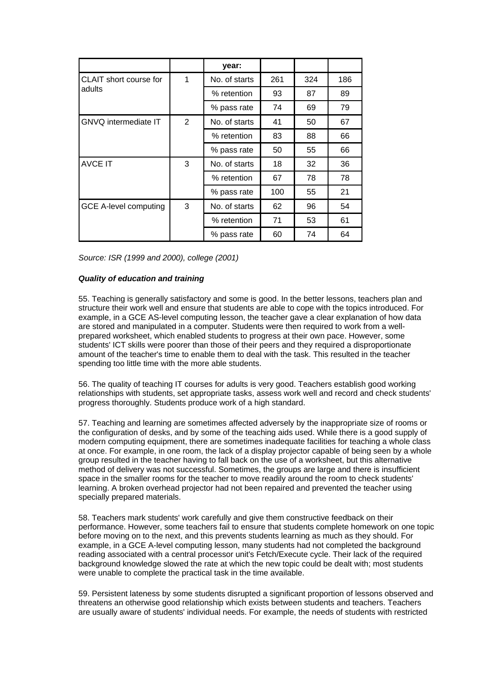|                              |                | year:         |     |     |     |
|------------------------------|----------------|---------------|-----|-----|-----|
| CLAIT short course for       | 1              | No. of starts | 261 | 324 | 186 |
| adults                       |                | % retention   | 93  | 87  | 89  |
|                              |                | % pass rate   | 74  | 69  | 79  |
| <b>GNVQ</b> intermediate IT  | $\overline{2}$ | No. of starts | 41  | 50  | 67  |
|                              |                | % retention   | 83  | 88  | 66  |
|                              |                | % pass rate   | 50  | 55  | 66  |
| <b>AVCE IT</b>               | 3              | No. of starts | 18  | 32  | 36  |
|                              |                | % retention   | 67  | 78  | 78  |
|                              |                | % pass rate   | 100 | 55  | 21  |
| <b>GCE A-level computing</b> | 3              | No. of starts | 62  | 96  | 54  |
|                              |                | % retention   | 71  | 53  | 61  |
|                              |                | % pass rate   | 60  | 74  | 64  |

*Source: ISR (1999 and 2000), college (2001)*

## *Quality of education and training*

55. Teaching is generally satisfactory and some is good. In the better lessons, teachers plan and structure their work well and ensure that students are able to cope with the topics introduced. For example, in a GCE AS-level computing lesson, the teacher gave a clear explanation of how data are stored and manipulated in a computer. Students were then required to work from a wellprepared worksheet, which enabled students to progress at their own pace. However, some students' ICT skills were poorer than those of their peers and they required a disproportionate amount of the teacher's time to enable them to deal with the task. This resulted in the teacher spending too little time with the more able students.

56. The quality of teaching IT courses for adults is very good. Teachers establish good working relationships with students, set appropriate tasks, assess work well and record and check students' progress thoroughly. Students produce work of a high standard.

57. Teaching and learning are sometimes affected adversely by the inappropriate size of rooms or the configuration of desks, and by some of the teaching aids used. While there is a good supply of modern computing equipment, there are sometimes inadequate facilities for teaching a whole class at once. For example, in one room, the lack of a display projector capable of being seen by a whole group resulted in the teacher having to fall back on the use of a worksheet, but this alternative method of delivery was not successful. Sometimes, the groups are large and there is insufficient space in the smaller rooms for the teacher to move readily around the room to check students' learning. A broken overhead projector had not been repaired and prevented the teacher using specially prepared materials.

58. Teachers mark students' work carefully and give them constructive feedback on their performance. However, some teachers fail to ensure that students complete homework on one topic before moving on to the next, and this prevents students learning as much as they should. For example, in a GCE A-level computing lesson, many students had not completed the background reading associated with a central processor unit's Fetch/Execute cycle. Their lack of the required background knowledge slowed the rate at which the new topic could be dealt with; most students were unable to complete the practical task in the time available.

59. Persistent lateness by some students disrupted a significant proportion of lessons observed and threatens an otherwise good relationship which exists between students and teachers. Teachers are usually aware of students' individual needs. For example, the needs of students with restricted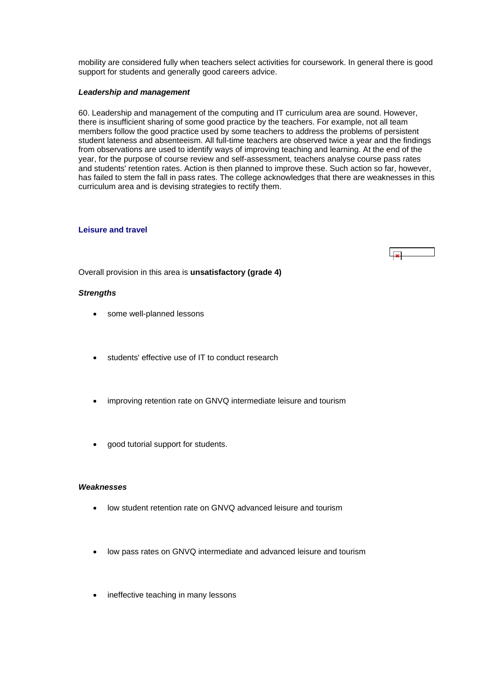<span id="page-22-0"></span>mobility are considered fully when teachers select activities for coursework. In general there is good support for students and generally good careers advice.

#### *Leadership and management*

60. Leadership and management of the computing and IT curriculum area are sound. However, there is insufficient sharing of some good practice by the teachers. For example, not all team members follow the good practice used by some teachers to address the problems of persistent student lateness and absenteeism. All full-time teachers are observed twice a year and the findings from observations are used to identify ways of improving teaching and learning. At the end of the year, for the purpose of course review and self-assessment, teachers analyse course pass rates and students' retention rates. Action is then planned to improve these. Such action so far, however, has failed to stem the fall in pass rates. The college acknowledges that there are weaknesses in this curriculum area and is devising strategies to rectify them.

#### **Leisure and travel**



Overall provision in this area is **unsatisfactory (grade 4)**

#### *Strengths*

- some well-planned lessons
- students' effective use of IT to conduct research
- improving retention rate on GNVQ intermediate leisure and tourism
- good tutorial support for students.

#### *Weaknesses*

- low student retention rate on GNVQ advanced leisure and tourism
- low pass rates on GNVQ intermediate and advanced leisure and tourism
- ineffective teaching in many lessons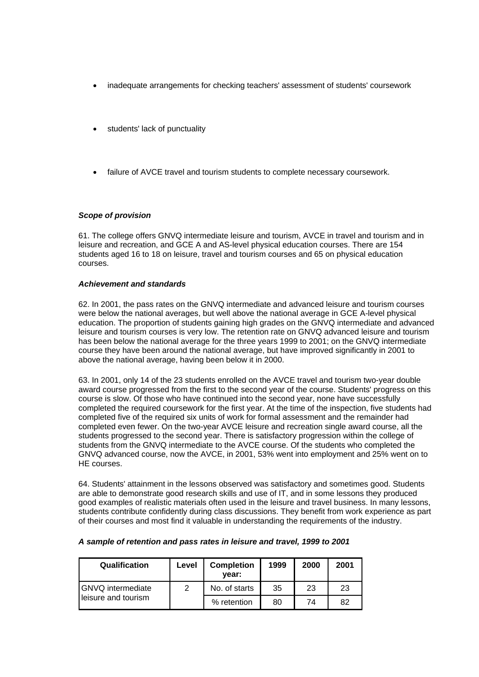- inadequate arrangements for checking teachers' assessment of students' coursework
- students' lack of punctuality
- failure of AVCE travel and tourism students to complete necessary coursework.

## *Scope of provision*

61. The college offers GNVQ intermediate leisure and tourism, AVCE in travel and tourism and in leisure and recreation, and GCE A and AS-level physical education courses. There are 154 students aged 16 to 18 on leisure, travel and tourism courses and 65 on physical education courses.

#### *Achievement and standards*

62. In 2001, the pass rates on the GNVQ intermediate and advanced leisure and tourism courses were below the national averages, but well above the national average in GCE A-level physical education. The proportion of students gaining high grades on the GNVQ intermediate and advanced leisure and tourism courses is very low. The retention rate on GNVQ advanced leisure and tourism has been below the national average for the three years 1999 to 2001; on the GNVQ intermediate course they have been around the national average, but have improved significantly in 2001 to above the national average, having been below it in 2000.

63. In 2001, only 14 of the 23 students enrolled on the AVCE travel and tourism two-year double award course progressed from the first to the second year of the course. Students' progress on this course is slow. Of those who have continued into the second year, none have successfully completed the required coursework for the first year. At the time of the inspection, five students had completed five of the required six units of work for formal assessment and the remainder had completed even fewer. On the two-year AVCE leisure and recreation single award course, all the students progressed to the second year. There is satisfactory progression within the college of students from the GNVQ intermediate to the AVCE course. Of the students who completed the GNVQ advanced course, now the AVCE, in 2001, 53% went into employment and 25% went on to HE courses.

64. Students' attainment in the lessons observed was satisfactory and sometimes good. Students are able to demonstrate good research skills and use of IT, and in some lessons they produced good examples of realistic materials often used in the leisure and travel business. In many lessons, students contribute confidently during class discussions. They benefit from work experience as part of their courses and most find it valuable in understanding the requirements of the industry.

| Qualification                                   | Level | <b>Completion</b><br>vear: | 1999 | 2000 | 2001 |
|-------------------------------------------------|-------|----------------------------|------|------|------|
| <b>GNVQ</b> intermediate<br>leisure and tourism | 2     | No. of starts              | 35   | 23   | 23   |
|                                                 |       | % retention                | 80   | 74   | 82   |

#### *A sample of retention and pass rates in leisure and travel, 1999 to 2001*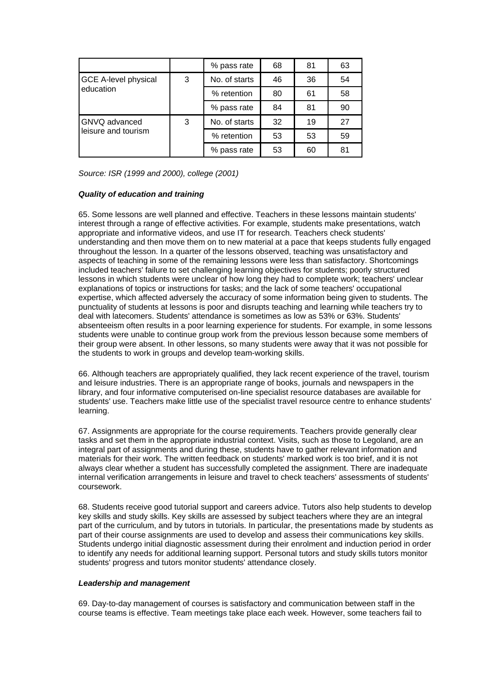|                                          |   | % pass rate   | 68 | 81 | 63 |
|------------------------------------------|---|---------------|----|----|----|
| <b>GCE A-level physical</b><br>education | 3 | No. of starts | 46 | 36 | 54 |
|                                          |   | % retention   | 80 | 61 | 58 |
|                                          |   | % pass rate   | 84 | 81 | 90 |
| GNVQ advanced<br>leisure and tourism     | 3 | No. of starts | 32 | 19 | 27 |
|                                          |   | % retention   | 53 | 53 | 59 |
|                                          |   | % pass rate   | 53 | 60 | 81 |

*Source: ISR (1999 and 2000), college (2001)*

# *Quality of education and training*

65. Some lessons are well planned and effective. Teachers in these lessons maintain students' interest through a range of effective activities. For example, students make presentations, watch appropriate and informative videos, and use IT for research. Teachers check students' understanding and then move them on to new material at a pace that keeps students fully engaged throughout the lesson. In a quarter of the lessons observed, teaching was unsatisfactory and aspects of teaching in some of the remaining lessons were less than satisfactory. Shortcomings included teachers' failure to set challenging learning objectives for students; poorly structured lessons in which students were unclear of how long they had to complete work; teachers' unclear explanations of topics or instructions for tasks; and the lack of some teachers' occupational expertise, which affected adversely the accuracy of some information being given to students. The punctuality of students at lessons is poor and disrupts teaching and learning while teachers try to deal with latecomers. Students' attendance is sometimes as low as 53% or 63%. Students' absenteeism often results in a poor learning experience for students. For example, in some lessons students were unable to continue group work from the previous lesson because some members of their group were absent. In other lessons, so many students were away that it was not possible for the students to work in groups and develop team-working skills.

66. Although teachers are appropriately qualified, they lack recent experience of the travel, tourism and leisure industries. There is an appropriate range of books, journals and newspapers in the library, and four informative computerised on-line specialist resource databases are available for students' use. Teachers make little use of the specialist travel resource centre to enhance students' learning.

67. Assignments are appropriate for the course requirements. Teachers provide generally clear tasks and set them in the appropriate industrial context. Visits, such as those to Legoland, are an integral part of assignments and during these, students have to gather relevant information and materials for their work. The written feedback on students' marked work is too brief, and it is not always clear whether a student has successfully completed the assignment. There are inadequate internal verification arrangements in leisure and travel to check teachers' assessments of students' coursework.

68. Students receive good tutorial support and careers advice. Tutors also help students to develop key skills and study skills. Key skills are assessed by subject teachers where they are an integral part of the curriculum, and by tutors in tutorials. In particular, the presentations made by students as part of their course assignments are used to develop and assess their communications key skills. Students undergo initial diagnostic assessment during their enrolment and induction period in order to identify any needs for additional learning support. Personal tutors and study skills tutors monitor students' progress and tutors monitor students' attendance closely.

# *Leadership and management*

69. Day-to-day management of courses is satisfactory and communication between staff in the course teams is effective. Team meetings take place each week. However, some teachers fail to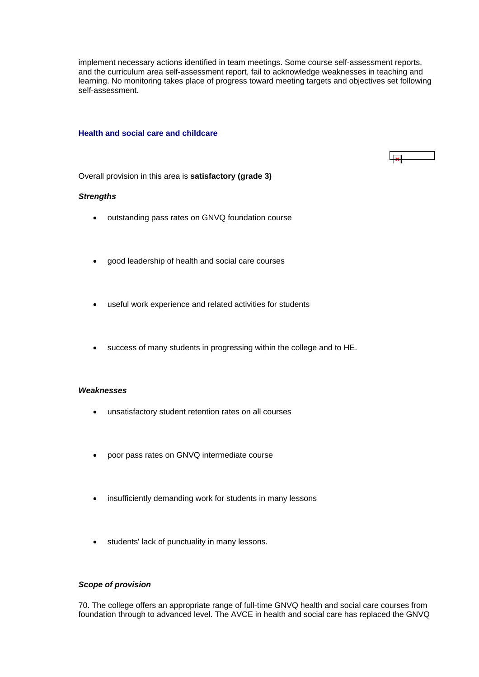<span id="page-25-0"></span>implement necessary actions identified in team meetings. Some course self-assessment reports, and the curriculum area self-assessment report, fail to acknowledge weaknesses in teaching and learning. No monitoring takes place of progress toward meeting targets and objectives set following self-assessment.

#### **Health and social care and childcare**



Overall provision in this area is **satisfactory (grade 3)**

#### *Strengths*

- outstanding pass rates on GNVQ foundation course
- good leadership of health and social care courses
- useful work experience and related activities for students
- success of many students in progressing within the college and to HE.

## *Weaknesses*

- unsatisfactory student retention rates on all courses
- poor pass rates on GNVQ intermediate course
- insufficiently demanding work for students in many lessons
- students' lack of punctuality in many lessons.

# *Scope of provision*

70. The college offers an appropriate range of full-time GNVQ health and social care courses from foundation through to advanced level. The AVCE in health and social care has replaced the GNVQ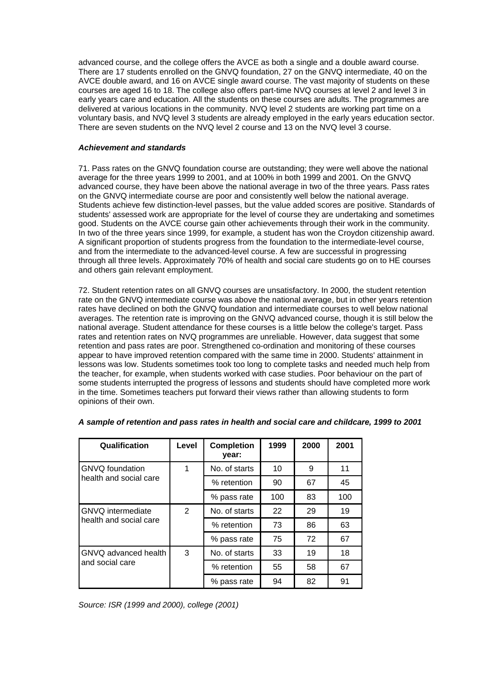advanced course, and the college offers the AVCE as both a single and a double award course. There are 17 students enrolled on the GNVQ foundation, 27 on the GNVQ intermediate, 40 on the AVCE double award, and 16 on AVCE single award course. The vast majority of students on these courses are aged 16 to 18. The college also offers part-time NVQ courses at level 2 and level 3 in early years care and education. All the students on these courses are adults. The programmes are delivered at various locations in the community. NVQ level 2 students are working part time on a voluntary basis, and NVQ level 3 students are already employed in the early years education sector. There are seven students on the NVQ level 2 course and 13 on the NVQ level 3 course.

## *Achievement and standards*

71. Pass rates on the GNVQ foundation course are outstanding; they were well above the national average for the three years 1999 to 2001, and at 100% in both 1999 and 2001. On the GNVQ advanced course, they have been above the national average in two of the three years. Pass rates on the GNVQ intermediate course are poor and consistently well below the national average. Students achieve few distinction-level passes, but the value added scores are positive. Standards of students' assessed work are appropriate for the level of course they are undertaking and sometimes good. Students on the AVCE course gain other achievements through their work in the community. In two of the three years since 1999, for example, a student has won the Croydon citizenship award. A significant proportion of students progress from the foundation to the intermediate-level course, and from the intermediate to the advanced-level course. A few are successful in progressing through all three levels. Approximately 70% of health and social care students go on to HE courses and others gain relevant employment.

72. Student retention rates on all GNVQ courses are unsatisfactory. In 2000, the student retention rate on the GNVQ intermediate course was above the national average, but in other years retention rates have declined on both the GNVQ foundation and intermediate courses to well below national averages. The retention rate is improving on the GNVQ advanced course, though it is still below the national average. Student attendance for these courses is a little below the college's target. Pass rates and retention rates on NVQ programmes are unreliable. However, data suggest that some retention and pass rates are poor. Strengthened co-ordination and monitoring of these courses appear to have improved retention compared with the same time in 2000. Students' attainment in lessons was low. Students sometimes took too long to complete tasks and needed much help from the teacher, for example, when students worked with case studies. Poor behaviour on the part of some students interrupted the progress of lessons and students should have completed more work in the time. Sometimes teachers put forward their views rather than allowing students to form opinions of their own.

| Qualification                                      | Level | <b>Completion</b><br>year: | 1999 | 2000 | 2001 |
|----------------------------------------------------|-------|----------------------------|------|------|------|
| <b>GNVQ</b> foundation                             | 1     | No. of starts              | 10   | 9    | 11   |
| health and social care                             |       | % retention                | 90   | 67   | 45   |
|                                                    |       | % pass rate                | 100  | 83   | 100  |
| <b>GNVQ</b> intermediate<br>health and social care | 2     | No. of starts              | 22   | 29   | 19   |
|                                                    |       | % retention                | 73   | 86   | 63   |
|                                                    |       | % pass rate                | 75   | 72   | 67   |
| GNVQ advanced health<br>and social care            | 3     | No. of starts              | 33   | 19   | 18   |
|                                                    |       | % retention                | 55   | 58   | 67   |
|                                                    |       | % pass rate                | 94   | 82   | 91   |

# *A sample of retention and pass rates in health and social care and childcare, 1999 to 2001*

*Source: ISR (1999 and 2000), college (2001)*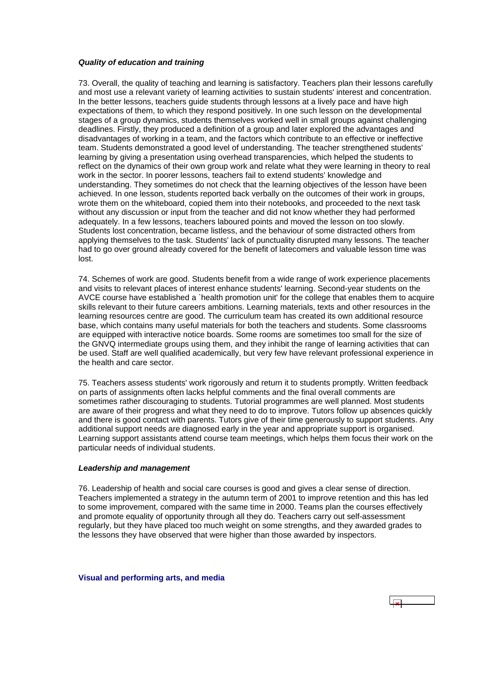#### <span id="page-27-0"></span>*Quality of education and training*

73. Overall, the quality of teaching and learning is satisfactory. Teachers plan their lessons carefully and most use a relevant variety of learning activities to sustain students' interest and concentration. In the better lessons, teachers guide students through lessons at a lively pace and have high expectations of them, to which they respond positively. In one such lesson on the developmental stages of a group dynamics, students themselves worked well in small groups against challenging deadlines. Firstly, they produced a definition of a group and later explored the advantages and disadvantages of working in a team, and the factors which contribute to an effective or ineffective team. Students demonstrated a good level of understanding. The teacher strengthened students' learning by giving a presentation using overhead transparencies, which helped the students to reflect on the dynamics of their own group work and relate what they were learning in theory to real work in the sector. In poorer lessons, teachers fail to extend students' knowledge and understanding. They sometimes do not check that the learning objectives of the lesson have been achieved. In one lesson, students reported back verbally on the outcomes of their work in groups, wrote them on the whiteboard, copied them into their notebooks, and proceeded to the next task without any discussion or input from the teacher and did not know whether they had performed adequately. In a few lessons, teachers laboured points and moved the lesson on too slowly. Students lost concentration, became listless, and the behaviour of some distracted others from applying themselves to the task. Students' lack of punctuality disrupted many lessons. The teacher had to go over ground already covered for the benefit of latecomers and valuable lesson time was lost.

74. Schemes of work are good. Students benefit from a wide range of work experience placements and visits to relevant places of interest enhance students' learning. Second-year students on the AVCE course have established a `health promotion unit' for the college that enables them to acquire skills relevant to their future careers ambitions. Learning materials, texts and other resources in the learning resources centre are good. The curriculum team has created its own additional resource base, which contains many useful materials for both the teachers and students. Some classrooms are equipped with interactive notice boards. Some rooms are sometimes too small for the size of the GNVQ intermediate groups using them, and they inhibit the range of learning activities that can be used. Staff are well qualified academically, but very few have relevant professional experience in the health and care sector.

75. Teachers assess students' work rigorously and return it to students promptly. Written feedback on parts of assignments often lacks helpful comments and the final overall comments are sometimes rather discouraging to students. Tutorial programmes are well planned. Most students are aware of their progress and what they need to do to improve. Tutors follow up absences quickly and there is good contact with parents. Tutors give of their time generously to support students. Any additional support needs are diagnosed early in the year and appropriate support is organised. Learning support assistants attend course team meetings, which helps them focus their work on the particular needs of individual students.

#### *Leadership and management*

76. Leadership of health and social care courses is good and gives a clear sense of direction. Teachers implemented a strategy in the autumn term of 2001 to improve retention and this has led to some improvement, compared with the same time in 2000. Teams plan the courses effectively and promote equality of opportunity through all they do. Teachers carry out self-assessment regularly, but they have placed too much weight on some strengths, and they awarded grades to the lessons they have observed that were higher than those awarded by inspectors.

#### **Visual and performing arts, and media**

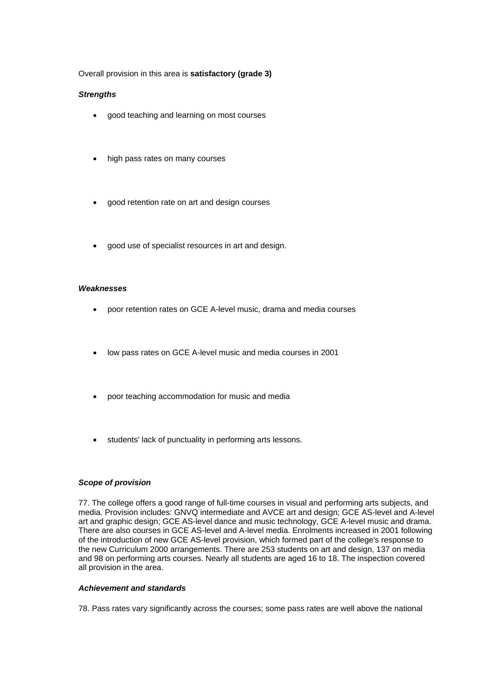## Overall provision in this area is **satisfactory (grade 3)**

## *Strengths*

- good teaching and learning on most courses
- high pass rates on many courses
- good retention rate on art and design courses
- good use of specialist resources in art and design.

#### *Weaknesses*

- poor retention rates on GCE A-level music, drama and media courses
- low pass rates on GCE A-level music and media courses in 2001
- poor teaching accommodation for music and media
- students' lack of punctuality in performing arts lessons.

#### *Scope of provision*

77. The college offers a good range of full-time courses in visual and performing arts subjects, and media. Provision includes: GNVQ intermediate and AVCE art and design; GCE AS-level and A-level art and graphic design; GCE AS-level dance and music technology, GCE A-level music and drama. There are also courses in GCE AS-level and A-level media. Enrolments increased in 2001 following of the introduction of new GCE AS-level provision, which formed part of the college's response to the new Curriculum 2000 arrangements. There are 253 students on art and design, 137 on media and 98 on performing arts courses. Nearly all students are aged 16 to 18. The inspection covered all provision in the area.

#### *Achievement and standards*

78. Pass rates vary significantly across the courses; some pass rates are well above the national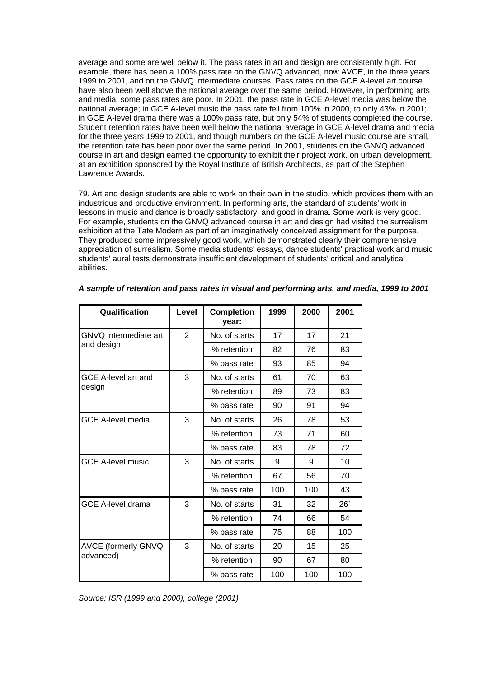average and some are well below it. The pass rates in art and design are consistently high. For example, there has been a 100% pass rate on the GNVQ advanced, now AVCE, in the three years 1999 to 2001, and on the GNVQ intermediate courses. Pass rates on the GCE A-level art course have also been well above the national average over the same period. However, in performing arts and media, some pass rates are poor. In 2001, the pass rate in GCE A-level media was below the national average; in GCE A-level music the pass rate fell from 100% in 2000, to only 43% in 2001; in GCE A-level drama there was a 100% pass rate, but only 54% of students completed the course. Student retention rates have been well below the national average in GCE A-level drama and media for the three years 1999 to 2001, and though numbers on the GCE A-level music course are small, the retention rate has been poor over the same period. In 2001, students on the GNVQ advanced course in art and design earned the opportunity to exhibit their project work, on urban development, at an exhibition sponsored by the Royal Institute of British Architects, as part of the Stephen Lawrence Awards.

79. Art and design students are able to work on their own in the studio, which provides them with an industrious and productive environment. In performing arts, the standard of students' work in lessons in music and dance is broadly satisfactory, and good in drama. Some work is very good. For example, students on the GNVQ advanced course in art and design had visited the surrealism exhibition at the Tate Modern as part of an imaginatively conceived assignment for the purpose. They produced some impressively good work, which demonstrated clearly their comprehensive appreciation of surrealism. Some media students' essays, dance students' practical work and music students' aural tests demonstrate insufficient development of students' critical and analytical abilities.

| Qualification                | Level          | <b>Completion</b><br>vear: | 1999 | 2000 | 2001 |
|------------------------------|----------------|----------------------------|------|------|------|
| <b>GNVQ</b> intermediate art | $\overline{2}$ | No. of starts              | 17   | 17   | 21   |
| and design                   |                | % retention                | 82   | 76   | 83   |
|                              |                | % pass rate                | 93   | 85   | 94   |
| <b>GCE A-level art and</b>   | 3              | No. of starts              | 61   | 70   | 63   |
| design                       |                | % retention                | 89   | 73   | 83   |
|                              |                | % pass rate                | 90   | 91   | 94   |
| <b>GCE A-level media</b>     | 3              | No. of starts              | 26   | 78   | 53   |
|                              |                | % retention                | 73   | 71   | 60   |
|                              |                | % pass rate                | 83   | 78   | 72   |
| <b>GCE A-level music</b>     | 3              | No. of starts              | 9    | 9    | 10   |
|                              |                | % retention                | 67   | 56   | 70   |
|                              |                | % pass rate                | 100  | 100  | 43   |
| <b>GCE A-level drama</b>     | 3              | No. of starts              | 31   | 32   | 26   |
|                              |                | % retention                | 74   | 66   | 54   |
|                              |                | % pass rate                | 75   | 88   | 100  |
| <b>AVCE (formerly GNVQ</b>   | 3              | No. of starts              | 20   | 15   | 25   |
| advanced)                    |                | % retention                | 90   | 67   | 80   |
|                              |                | % pass rate                | 100  | 100  | 100  |

## *A sample of retention and pass rates in visual and performing arts, and media, 1999 to 2001*

*Source: ISR (1999 and 2000), college (2001)*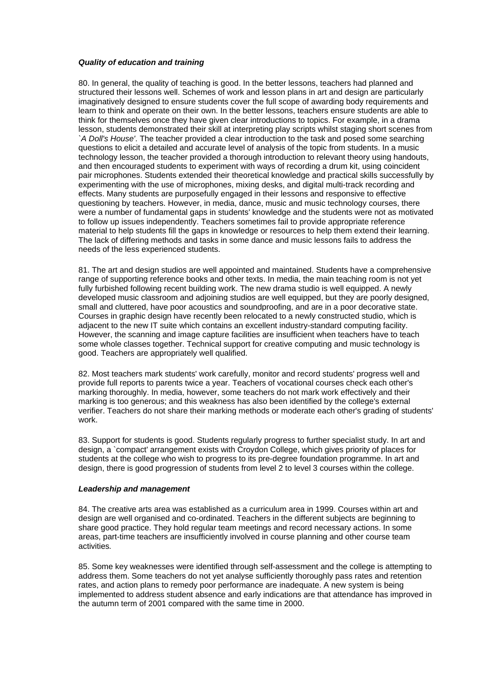#### *Quality of education and training*

80. In general, the quality of teaching is good. In the better lessons, teachers had planned and structured their lessons well. Schemes of work and lesson plans in art and design are particularly imaginatively designed to ensure students cover the full scope of awarding body requirements and learn to think and operate on their own. In the better lessons, teachers ensure students are able to think for themselves once they have given clear introductions to topics. For example, in a drama lesson, students demonstrated their skill at interpreting play scripts whilst staging short scenes from *`A Doll's House'*. The teacher provided a clear introduction to the task and posed some searching questions to elicit a detailed and accurate level of analysis of the topic from students. In a music technology lesson, the teacher provided a thorough introduction to relevant theory using handouts, and then encouraged students to experiment with ways of recording a drum kit, using coincident pair microphones. Students extended their theoretical knowledge and practical skills successfully by experimenting with the use of microphones, mixing desks, and digital multi-track recording and effects. Many students are purposefully engaged in their lessons and responsive to effective questioning by teachers. However, in media, dance, music and music technology courses, there were a number of fundamental gaps in students' knowledge and the students were not as motivated to follow up issues independently. Teachers sometimes fail to provide appropriate reference material to help students fill the gaps in knowledge or resources to help them extend their learning. The lack of differing methods and tasks in some dance and music lessons fails to address the needs of the less experienced students.

81. The art and design studios are well appointed and maintained. Students have a comprehensive range of supporting reference books and other texts. In media, the main teaching room is not yet fully furbished following recent building work. The new drama studio is well equipped. A newly developed music classroom and adjoining studios are well equipped, but they are poorly designed, small and cluttered, have poor acoustics and soundproofing, and are in a poor decorative state. Courses in graphic design have recently been relocated to a newly constructed studio, which is adjacent to the new IT suite which contains an excellent industry-standard computing facility. However, the scanning and image capture facilities are insufficient when teachers have to teach some whole classes together. Technical support for creative computing and music technology is good. Teachers are appropriately well qualified.

82. Most teachers mark students' work carefully, monitor and record students' progress well and provide full reports to parents twice a year. Teachers of vocational courses check each other's marking thoroughly. In media, however, some teachers do not mark work effectively and their marking is too generous; and this weakness has also been identified by the college's external verifier. Teachers do not share their marking methods or moderate each other's grading of students' work.

83. Support for students is good. Students regularly progress to further specialist study. In art and design, a `compact' arrangement exists with Croydon College, which gives priority of places for students at the college who wish to progress to its pre-degree foundation programme. In art and design, there is good progression of students from level 2 to level 3 courses within the college.

### *Leadership and management*

84. The creative arts area was established as a curriculum area in 1999. Courses within art and design are well organised and co-ordinated. Teachers in the different subjects are beginning to share good practice. They hold regular team meetings and record necessary actions. In some areas, part-time teachers are insufficiently involved in course planning and other course team activities*.*

85. Some key weaknesses were identified through self-assessment and the college is attempting to address them. Some teachers do not yet analyse sufficiently thoroughly pass rates and retention rates, and action plans to remedy poor performance are inadequate. A new system is being implemented to address student absence and early indications are that attendance has improved in the autumn term of 2001 compared with the same time in 2000.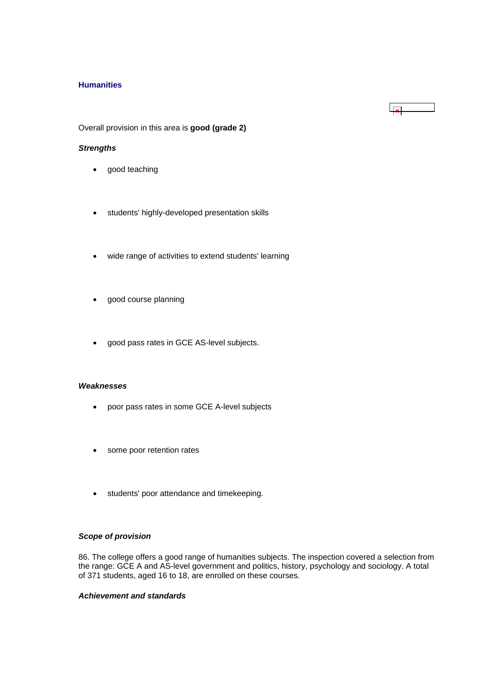## <span id="page-31-0"></span>**Humanities**

Overall provision in this area is **good (grade 2)**

#### *Strengths*

- good teaching
- students' highly-developed presentation skills
- wide range of activities to extend students' learning
- good course planning
- good pass rates in GCE AS-level subjects.

#### *Weaknesses*

- poor pass rates in some GCE A-level subjects
- some poor retention rates
- students' poor attendance and timekeeping.

#### *Scope of provision*

86. The college offers a good range of humanities subjects. The inspection covered a selection from the range: GCE A and AS-level government and politics, history, psychology and sociology. A total of 371 students, aged 16 to 18, are enrolled on these courses.

 $\overline{\phantom{a}}$ 

# *Achievement and standards*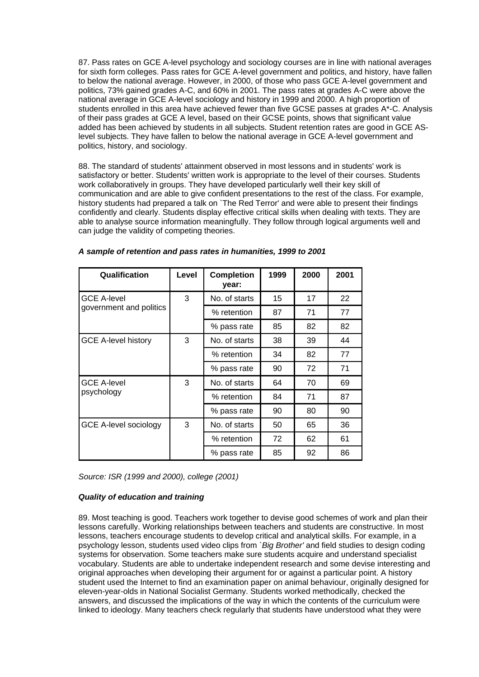87. Pass rates on GCE A-level psychology and sociology courses are in line with national averages for sixth form colleges. Pass rates for GCE A-level government and politics, and history, have fallen to below the national average. However, in 2000, of those who pass GCE A-level government and politics, 73% gained grades A-C, and 60% in 2001. The pass rates at grades A-C were above the national average in GCE A-level sociology and history in 1999 and 2000. A high proportion of students enrolled in this area have achieved fewer than five GCSE passes at grades A\*-C. Analysis of their pass grades at GCE A level, based on their GCSE points, shows that significant value added has been achieved by students in all subjects. Student retention rates are good in GCE ASlevel subjects. They have fallen to below the national average in GCE A-level government and politics, history, and sociology.

88. The standard of students' attainment observed in most lessons and in students' work is satisfactory or better. Students' written work is appropriate to the level of their courses. Students work collaboratively in groups. They have developed particularly well their key skill of communication and are able to give confident presentations to the rest of the class. For example, history students had prepared a talk on `The Red Terror' and were able to present their findings confidently and clearly. Students display effective critical skills when dealing with texts. They are able to analyse source information meaningfully. They follow through logical arguments well and can judge the validity of competing theories.

| Qualification                | Level | <b>Completion</b><br>year: | 1999 | 2000 | 2001 |
|------------------------------|-------|----------------------------|------|------|------|
| <b>GCE A-level</b>           | 3     | No. of starts              | 15   | 17   | 22   |
| government and politics      |       | % retention                | 87   | 71   | 77   |
|                              |       | % pass rate                | 85   | 82   | 82   |
| <b>GCE A-level history</b>   | 3     | No. of starts              | 38   | 39   | 44   |
|                              |       | % retention                | 34   | 82   | 77   |
|                              |       | % pass rate                | 90   | 72   | 71   |
| <b>GCE A-level</b>           | 3     | No. of starts              | 64   | 70   | 69   |
| psychology                   |       | % retention                | 84   | 71   | 87   |
|                              |       | % pass rate                | 90   | 80   | 90   |
| <b>GCE A-level sociology</b> | 3     | No. of starts              | 50   | 65   | 36   |
|                              |       | % retention                | 72   | 62   | 61   |
|                              |       | % pass rate                | 85   | 92   | 86   |

| A sample of retention and pass rates in humanities, 1999 to 2001 |  |  |
|------------------------------------------------------------------|--|--|
|------------------------------------------------------------------|--|--|

*Source: ISR (1999 and 2000), college (2001)*

## *Quality of education and training*

89. Most teaching is good. Teachers work together to devise good schemes of work and plan their lessons carefully. Working relationships between teachers and students are constructive. In most lessons, teachers encourage students to develop critical and analytical skills. For example, in a psychology lesson, students used video clips from `*Big Brother'* and field studies to design coding systems for observation. Some teachers make sure students acquire and understand specialist vocabulary. Students are able to undertake independent research and some devise interesting and original approaches when developing their argument for or against a particular point. A history student used the Internet to find an examination paper on animal behaviour, originally designed for eleven-year-olds in National Socialist Germany. Students worked methodically, checked the answers, and discussed the implications of the way in which the contents of the curriculum were linked to ideology. Many teachers check regularly that students have understood what they were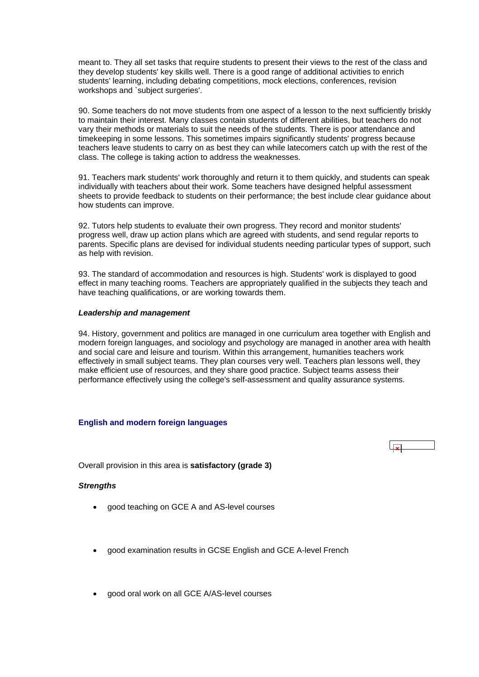<span id="page-33-0"></span>meant to. They all set tasks that require students to present their views to the rest of the class and they develop students' key skills well. There is a good range of additional activities to enrich students' learning, including debating competitions, mock elections, conferences, revision workshops and `subject surgeries'.

90. Some teachers do not move students from one aspect of a lesson to the next sufficiently briskly to maintain their interest. Many classes contain students of different abilities, but teachers do not vary their methods or materials to suit the needs of the students. There is poor attendance and timekeeping in some lessons. This sometimes impairs significantly students' progress because teachers leave students to carry on as best they can while latecomers catch up with the rest of the class. The college is taking action to address the weaknesses.

91. Teachers mark students' work thoroughly and return it to them quickly, and students can speak individually with teachers about their work. Some teachers have designed helpful assessment sheets to provide feedback to students on their performance; the best include clear guidance about how students can improve.

92. Tutors help students to evaluate their own progress. They record and monitor students' progress well, draw up action plans which are agreed with students, and send regular reports to parents. Specific plans are devised for individual students needing particular types of support, such as help with revision.

93. The standard of accommodation and resources is high. Students' work is displayed to good effect in many teaching rooms. Teachers are appropriately qualified in the subjects they teach and have teaching qualifications, or are working towards them.

#### *Leadership and management*

94. History, government and politics are managed in one curriculum area together with English and modern foreign languages, and sociology and psychology are managed in another area with health and social care and leisure and tourism. Within this arrangement, humanities teachers work effectively in small subject teams. They plan courses very well. Teachers plan lessons well, they make efficient use of resources, and they share good practice. Subject teams assess their performance effectively using the college's self-assessment and quality assurance systems.

## **English and modern foreign languages**

Overall provision in this area is **satisfactory (grade 3)**

#### *Strengths*

- good teaching on GCE A and AS-level courses
- good examination results in GCSE English and GCE A-level French
- good oral work on all GCE A/AS-level courses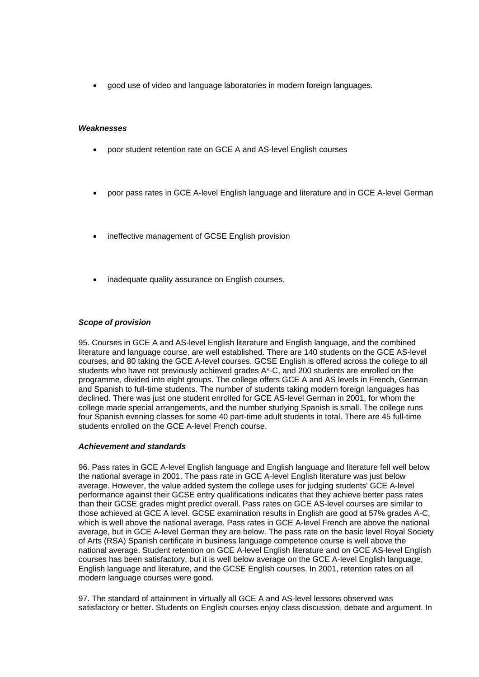• good use of video and language laboratories in modern foreign languages.

#### *Weaknesses*

- poor student retention rate on GCE A and AS-level English courses
- poor pass rates in GCE A-level English language and literature and in GCE A-level German
- ineffective management of GCSE English provision
- inadequate quality assurance on English courses.

#### *Scope of provision*

95. Courses in GCE A and AS-level English literature and English language, and the combined literature and language course, are well established. There are 140 students on the GCE AS-level courses, and 80 taking the GCE A-level courses. GCSE English is offered across the college to all students who have not previously achieved grades A\*-C, and 200 students are enrolled on the programme, divided into eight groups. The college offers GCE A and AS levels in French, German and Spanish to full-time students. The number of students taking modern foreign languages has declined. There was just one student enrolled for GCE AS-level German in 2001, for whom the college made special arrangements, and the number studying Spanish is small. The college runs four Spanish evening classes for some 40 part-time adult students in total. There are 45 full-time students enrolled on the GCE A-level French course.

#### *Achievement and standards*

96. Pass rates in GCE A-level English language and English language and literature fell well below the national average in 2001. The pass rate in GCE A-level English literature was just below average. However, the value added system the college uses for judging students' GCE A-level performance against their GCSE entry qualifications indicates that they achieve better pass rates than their GCSE grades might predict overall. Pass rates on GCE AS-level courses are similar to those achieved at GCE A level. GCSE examination results in English are good at 57% grades A-C, which is well above the national average. Pass rates in GCE A-level French are above the national average, but in GCE A-level German they are below. The pass rate on the basic level Royal Society of Arts (RSA) Spanish certificate in business language competence course is well above the national average. Student retention on GCE A-level English literature and on GCE AS-level English courses has been satisfactory, but it is well below average on the GCE A-level English language, English language and literature, and the GCSE English courses. In 2001, retention rates on all modern language courses were good.

97. The standard of attainment in virtually all GCE A and AS-level lessons observed was satisfactory or better. Students on English courses enjoy class discussion, debate and argument. In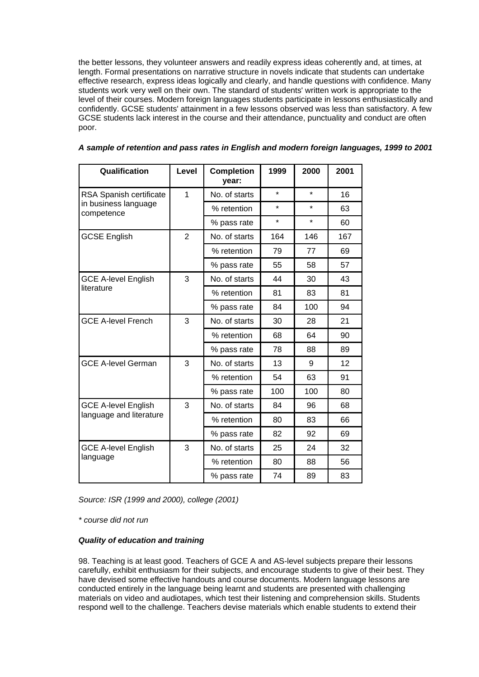the better lessons, they volunteer answers and readily express ideas coherently and, at times, at length. Formal presentations on narrative structure in novels indicate that students can undertake effective research, express ideas logically and clearly, and handle questions with confidence. Many students work very well on their own. The standard of students' written work is appropriate to the level of their courses. Modern foreign languages students participate in lessons enthusiastically and confidently. GCSE students' attainment in a few lessons observed was less than satisfactory. A few GCSE students lack interest in the course and their attendance, punctuality and conduct are often poor.

| Qualification                      | Level          | <b>Completion</b><br>year: | 1999    | 2000    | 2001 |
|------------------------------------|----------------|----------------------------|---------|---------|------|
| RSA Spanish certificate            | 1              | No. of starts              | $\star$ | $\star$ | 16   |
| in business language<br>competence |                | % retention                | $\star$ | $\star$ | 63   |
|                                    |                | % pass rate                | $\star$ | $\star$ | 60   |
| <b>GCSE English</b>                | $\overline{2}$ | No. of starts              | 164     | 146     | 167  |
|                                    |                | % retention                | 79      | 77      | 69   |
|                                    |                | % pass rate                | 55      | 58      | 57   |
| <b>GCE A-level English</b>         | 3              | No. of starts              | 44      | 30      | 43   |
| literature                         |                | % retention                | 81      | 83      | 81   |
|                                    |                | % pass rate                | 84      | 100     | 94   |
| <b>GCE A-level French</b>          | 3              | No. of starts              | 30      | 28      | 21   |
|                                    |                | % retention                | 68      | 64      | 90   |
|                                    |                | % pass rate                | 78      | 88      | 89   |
| <b>GCE A-level German</b>          | 3              | No. of starts              | 13      | 9       | 12   |
|                                    |                | % retention                | 54      | 63      | 91   |
|                                    |                | % pass rate                | 100     | 100     | 80   |
| <b>GCE A-level English</b>         | 3              | No. of starts              | 84      | 96      | 68   |
| language and literature            |                | % retention                | 80      | 83      | 66   |
|                                    |                | % pass rate                | 82      | 92      | 69   |
| <b>GCE A-level English</b>         | 3              | No. of starts              | 25      | 24      | 32   |
| language                           |                | % retention                | 80      | 88      | 56   |
|                                    |                | % pass rate                | 74      | 89      | 83   |

*A sample of retention and pass rates in English and modern foreign languages, 1999 to 2001*

*Source: ISR (1999 and 2000), college (2001)*

*\* course did not run*

## *Quality of education and training*

98. Teaching is at least good. Teachers of GCE A and AS-level subjects prepare their lessons carefully, exhibit enthusiasm for their subjects, and encourage students to give of their best. They have devised some effective handouts and course documents. Modern language lessons are conducted entirely in the language being learnt and students are presented with challenging materials on video and audiotapes, which test their listening and comprehension skills. Students respond well to the challenge. Teachers devise materials which enable students to extend their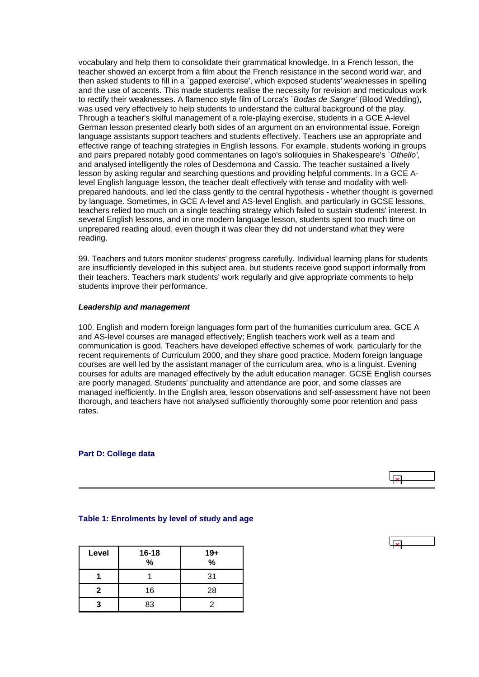<span id="page-36-0"></span>vocabulary and help them to consolidate their grammatical knowledge. In a French lesson, the teacher showed an excerpt from a film about the French resistance in the second world war, and then asked students to fill in a `gapped exercise', which exposed students' weaknesses in spelling and the use of accents. This made students realise the necessity for revision and meticulous work to rectify their weaknesses. A flamenco style film of Lorca's *`Bodas de Sangre'* (Blood Wedding), was used very effectively to help students to understand the cultural background of the play. Through a teacher's skilful management of a role-playing exercise, students in a GCE A-level German lesson presented clearly both sides of an argument on an environmental issue. Foreign language assistants support teachers and students effectively. Teachers use an appropriate and effective range of teaching strategies in English lessons. For example, students working in groups and pairs prepared notably good commentaries on Iago's soliloquies in Shakespeare's *`Othello'*, and analysed intelligently the roles of Desdemona and Cassio. The teacher sustained a lively lesson by asking regular and searching questions and providing helpful comments. In a GCE Alevel English language lesson, the teacher dealt effectively with tense and modality with wellprepared handouts, and led the class gently to the central hypothesis - whether thought is governed by language. Sometimes, in GCE A-level and AS-level English, and particularly in GCSE lessons, teachers relied too much on a single teaching strategy which failed to sustain students' interest. In several English lessons, and in one modern language lesson, students spent too much time on unprepared reading aloud, even though it was clear they did not understand what they were reading.

99. Teachers and tutors monitor students' progress carefully. Individual learning plans for students are insufficiently developed in this subject area, but students receive good support informally from their teachers. Teachers mark students' work regularly and give appropriate comments to help students improve their performance.

#### *Leadership and management*

100. English and modern foreign languages form part of the humanities curriculum area. GCE A and AS-level courses are managed effectively; English teachers work well as a team and communication is good. Teachers have developed effective schemes of work, particularly for the recent requirements of Curriculum 2000, and they share good practice. Modern foreign language courses are well led by the assistant manager of the curriculum area, who is a linguist. Evening courses for adults are managed effectively by the adult education manager. GCSE English courses are poorly managed. Students' punctuality and attendance are poor, and some classes are managed inefficiently. In the English area, lesson observations and self-assessment have not been thorough, and teachers have not analysed sufficiently thoroughly some poor retention and pass rates.

#### **Part D: College data**



### **Table 1: Enrolments by level of study and age**

| Level | $16 - 18$<br>% | $19+$<br>$\frac{9}{6}$ |
|-------|----------------|------------------------|
|       |                | 31                     |
| 2     | 16             | 28                     |
|       | 83             |                        |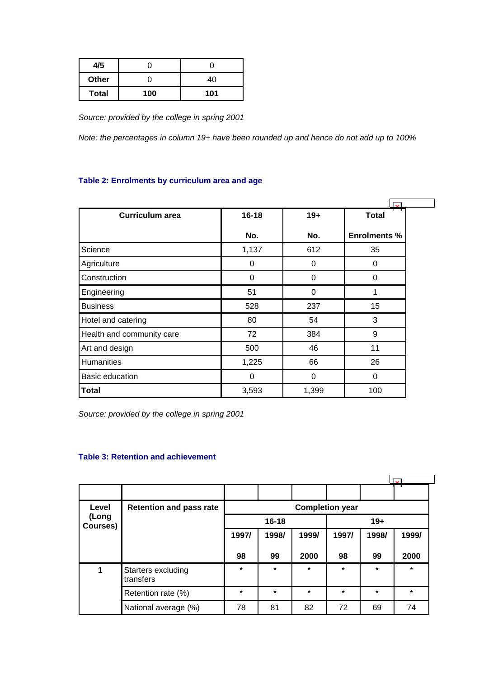<span id="page-37-0"></span>

| 4/5          |     |     |
|--------------|-----|-----|
| Other        |     | 40  |
| <b>Total</b> | 100 | 101 |

*Source: provided by the college in spring 2001*

*Note: the percentages in column 19+ have been rounded up and hence do not add up to 100%*

# **Table 2: Enrolments by curriculum area and age**

| <b>Curriculum area</b>    | $16 - 18$ | $19+$    | <b>Total</b>        |
|---------------------------|-----------|----------|---------------------|
|                           | No.       | No.      | <b>Enrolments %</b> |
| Science                   | 1,137     | 612      | 35                  |
| Agriculture               | 0         | $\Omega$ | 0                   |
| Construction              | 0         | 0        | 0                   |
| Engineering               | 51        | 0        | 1                   |
| <b>Business</b>           | 528       | 237      | 15                  |
| Hotel and catering        | 80        | 54       | 3                   |
| Health and community care | 72        | 384      | 9                   |
| Art and design            | 500       | 46       | 11                  |
| <b>Humanities</b>         | 1,225     | 66       | 26                  |
| <b>Basic education</b>    | 0         | $\Omega$ | $\Omega$            |
| <b>Total</b>              | 3,593     | 1,399    | 100                 |

*Source: provided by the college in spring 2001*

# **Table 3: Retention and achievement**

| Level             | <b>Retention and pass rate</b>  |           |         | <b>Completion year</b> |         |         |         |
|-------------------|---------------------------------|-----------|---------|------------------------|---------|---------|---------|
| (Long<br>Courses) |                                 | $16 - 18$ |         |                        | $19+$   |         |         |
|                   |                                 | 1997/     | 1998/   | 1999/                  | 1997/   | 1998/   | 1999/   |
|                   |                                 | 98        | 99      | 2000                   | 98      | 99      | 2000    |
| 1                 | Starters excluding<br>transfers | $\star$   | $\star$ | $\star$                | $\star$ | $\star$ | $\star$ |
|                   | Retention rate (%)              | $\star$   | $\star$ | $\star$                | $\star$ | $\star$ | $\star$ |
|                   | National average (%)            | 78        | 81      | 82                     | 72      | 69      | 74      |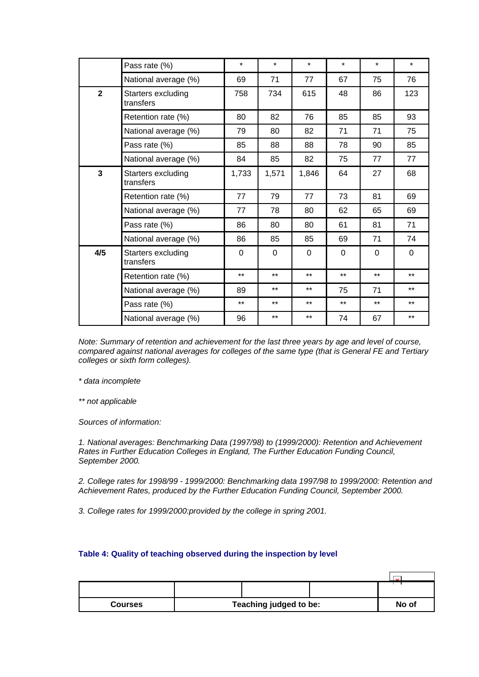<span id="page-38-0"></span>

|              | Pass rate (%)                   | $\star$  | $\star$  | $\star$  | $\star$  | $\star$  | $\star$  |
|--------------|---------------------------------|----------|----------|----------|----------|----------|----------|
|              | National average (%)            | 69       | 71       | 77       | 67       | 75       | 76       |
| $\mathbf{2}$ | Starters excluding<br>transfers | 758      | 734      | 615      | 48       | 86       | 123      |
|              | Retention rate (%)              | 80       | 82       | 76       | 85       | 85       | 93       |
|              | National average (%)            | 79       | 80       | 82       | 71       | 71       | 75       |
|              | Pass rate (%)                   | 85       | 88       | 88       | 78       | 90       | 85       |
|              | National average (%)            | 84       | 85       | 82       | 75       | 77       | 77       |
| 3            | Starters excluding<br>transfers | 1,733    | 1,571    | 1,846    | 64       | 27       | 68       |
|              | Retention rate (%)              | 77       | 79       | 77       | 73       | 81       | 69       |
|              | National average (%)            | 77       | 78       | 80       | 62       | 65       | 69       |
|              | Pass rate (%)                   | 86       | 80       | 80       | 61       | 81       | 71       |
|              | National average (%)            | 86       | 85       | 85       | 69       | 71       | 74       |
| 4/5          | Starters excluding<br>transfers | $\Omega$ | $\Omega$ | $\Omega$ | $\Omega$ | $\Omega$ | $\Omega$ |
|              | Retention rate (%)              | $***$    | $***$    | $**$     | $***$    | $***$    | $***$    |
|              | National average (%)            | 89       | $***$    | $***$    | 75       | 71       | $***$    |
|              | Pass rate (%)                   | $***$    | $***$    | $**$     | $***$    | $***$    | $***$    |
|              | National average (%)            | 96       | $***$    | $***$    | 74       | 67       | $***$    |

*Note: Summary of retention and achievement for the last three years by age and level of course, compared against national averages for colleges of the same type (that is General FE and Tertiary colleges or sixth form colleges).*

*\* data incomplete*

*\*\* not applicable*

*Sources of information:* 

*1. National averages: Benchmarking Data (1997/98) to (1999/2000): Retention and Achievement Rates in Further Education Colleges in England, The Further Education Funding Council, September 2000.*

*2. College rates for 1998/99 - 1999/2000: Benchmarking data 1997/98 to 1999/2000: Retention and Achievement Rates, produced by the Further Education Funding Council, September 2000.* 

*3. College rates for 1999/2000:provided by the college in spring 2001.*

# **Table 4: Quality of teaching observed during the inspection by level**

| <b>Courses</b> | Teaching judged to be: |  |  | No of |
|----------------|------------------------|--|--|-------|